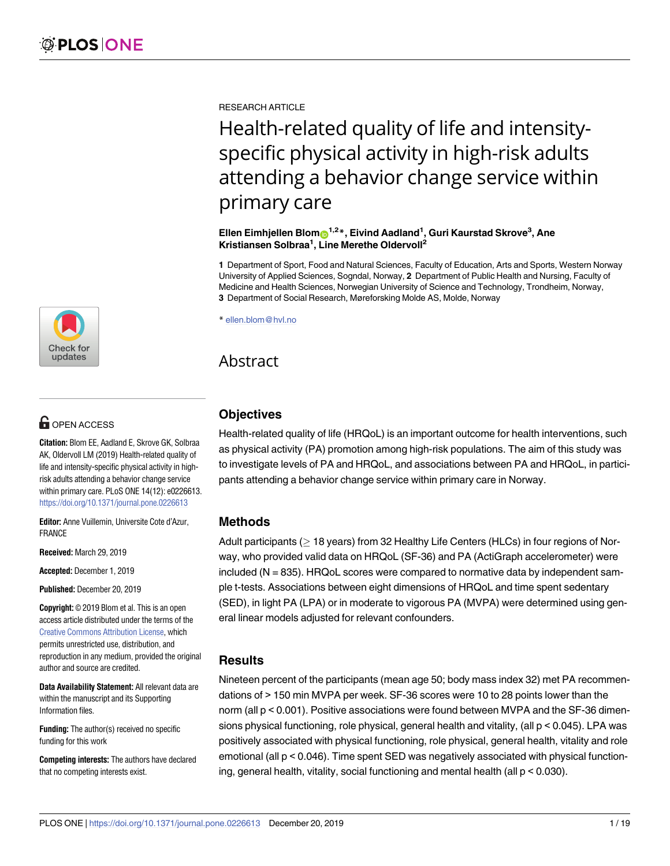

# **OPEN ACCESS**

**Citation:** Blom EE, Aadland E, Skrove GK, Solbraa AK, Oldervoll LM (2019) Health-related quality of life and intensity-specific physical activity in highrisk adults attending a behavior change service within primary care. PLoS ONE 14(12): e0226613. <https://doi.org/10.1371/journal.pone.0226613>

**Editor:** Anne Vuillemin, Universite Cote d'Azur, FRANCE

**Received:** March 29, 2019

**Accepted:** December 1, 2019

**Published:** December 20, 2019

**Copyright:** © 2019 Blom et al. This is an open access article distributed under the terms of the Creative Commons [Attribution](http://creativecommons.org/licenses/by/4.0/) License, which permits unrestricted use, distribution, and reproduction in any medium, provided the original author and source are credited.

**Data Availability Statement:** All relevant data are within the manuscript and its Supporting Information files.

**Funding:** The author(s) received no specific funding for this work

**Competing interests:** The authors have declared that no competing interests exist.

RESEARCH ARTICLE

Health-related quality of life and intensityspecific physical activity in high-risk adults attending a behavior change service within primary care

 $E$ llen  $E$ imhjellen  $B$ lom $\bigcirc^{1,2*}$ ,  $E$ ivind Aadland<sup>1</sup>, Guri Kaurstad Skrove<sup>3</sup>, Ane **Kristiansen Solbraa1 , Line Merethe Oldervoll2**

**1** Department of Sport, Food and Natural Sciences, Faculty of Education, Arts and Sports, Western Norway University of Applied Sciences, Sogndal, Norway, **2** Department of Public Health and Nursing, Faculty of Medicine and Health Sciences, Norwegian University of Science and Technology, Trondheim, Norway, **3** Department of Social Research, Møreforsking Molde AS, Molde, Norway

\* ellen.blom@hvl.no

Abstract

# **Objectives**

Health-related quality of life (HRQoL) is an important outcome for health interventions, such as physical activity (PA) promotion among high-risk populations. The aim of this study was to investigate levels of PA and HRQoL, and associations between PA and HRQoL, in participants attending a behavior change service within primary care in Norway.

# **Methods**

Adult participants ( $\geq 18$  years) from 32 Healthy Life Centers (HLCs) in four regions of Norway, who provided valid data on HRQoL (SF-36) and PA (ActiGraph accelerometer) were included ( $N = 835$ ). HRQoL scores were compared to normative data by independent sample t-tests. Associations between eight dimensions of HRQoL and time spent sedentary (SED), in light PA (LPA) or in moderate to vigorous PA (MVPA) were determined using general linear models adjusted for relevant confounders.

# **Results**

Nineteen percent of the participants (mean age 50; body mass index 32) met PA recommendations of > 150 min MVPA per week. SF-36 scores were 10 to 28 points lower than the norm (all p < 0.001). Positive associations were found between MVPA and the SF-36 dimensions physical functioning, role physical, general health and vitality, (all p < 0.045). LPA was positively associated with physical functioning, role physical, general health, vitality and role emotional (all p < 0.046). Time spent SED was negatively associated with physical functioning, general health, vitality, social functioning and mental health (all p < 0.030).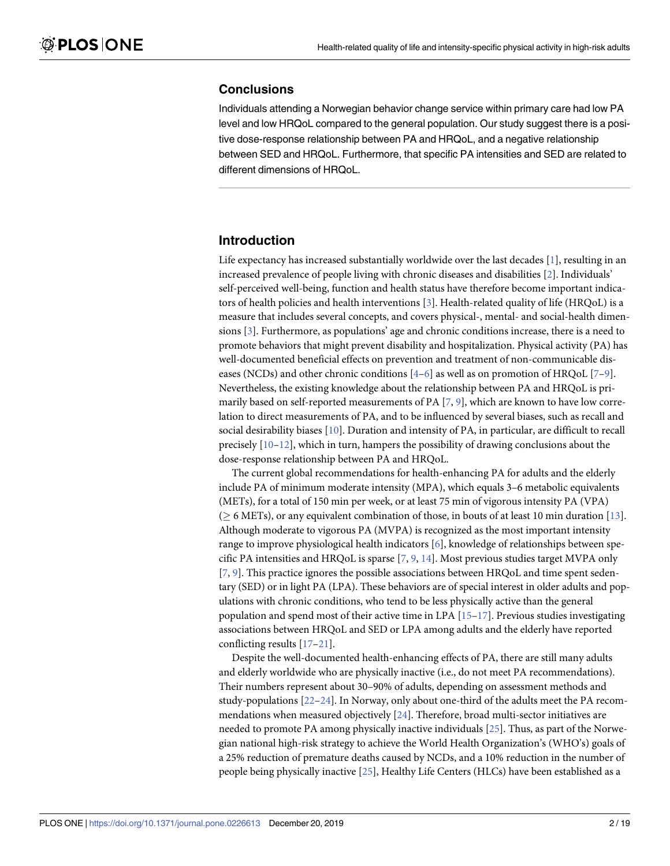### <span id="page-1-0"></span>**Conclusions**

Individuals attending a Norwegian behavior change service within primary care had low PA level and low HRQoL compared to the general population. Our study suggest there is a positive dose-response relationship between PA and HRQoL, and a negative relationship between SED and HRQoL. Furthermore, that specific PA intensities and SED are related to different dimensions of HRQoL.

# **Introduction**

Life expectancy has increased substantially worldwide over the last decades [[1](#page-15-0)], resulting in an increased prevalence of people living with chronic diseases and disabilities [\[2\]](#page-15-0). Individuals' self-perceived well-being, function and health status have therefore become important indicators of health policies and health interventions [[3](#page-15-0)]. Health-related quality of life (HRQoL) is a measure that includes several concepts, and covers physical-, mental- and social-health dimensions [\[3\]](#page-15-0). Furthermore, as populations' age and chronic conditions increase, there is a need to promote behaviors that might prevent disability and hospitalization. Physical activity (PA) has well-documented beneficial effects on prevention and treatment of non-communicable diseases (NCDs) and other chronic conditions  $[4-6]$  as well as on promotion of HRQoL  $[7-9]$  $[7-9]$  $[7-9]$  $[7-9]$  $[7-9]$ . Nevertheless, the existing knowledge about the relationship between PA and HRQoL is pri-marily based on self-reported measurements of PA [\[7](#page-15-0), [9](#page-15-0)], which are known to have low correlation to direct measurements of PA, and to be influenced by several biases, such as recall and social desirability biases [\[10\]](#page-15-0). Duration and intensity of PA, in particular, are difficult to recall precisely [\[10–12\]](#page-15-0), which in turn, hampers the possibility of drawing conclusions about the dose-response relationship between PA and HRQoL.

The current global recommendations for health-enhancing PA for adults and the elderly include PA of minimum moderate intensity (MPA), which equals 3–6 metabolic equivalents (METs), for a total of 150 min per week, or at least 75 min of vigorous intensity PA (VPA)  $($   $\geq$  6 METs), or any equivalent combination of those, in bouts of at least 10 min duration [[13](#page-15-0)]. Although moderate to vigorous PA (MVPA) is recognized as the most important intensity range to improve physiological health indicators [[6](#page-15-0)], knowledge of relationships between specific PA intensities and HRQoL is sparse [\[7](#page-15-0), [9](#page-15-0), [14](#page-15-0)]. Most previous studies target MVPA only [\[7](#page-15-0), [9](#page-15-0)]. This practice ignores the possible associations between HRQoL and time spent sedentary (SED) or in light PA (LPA). These behaviors are of special interest in older adults and populations with chronic conditions, who tend to be less physically active than the general population and spend most of their active time in LPA  $[15-17]$  $[15-17]$  $[15-17]$ . Previous studies investigating associations between HRQoL and SED or LPA among adults and the elderly have reported conflicting results [[17–21\]](#page-16-0).

Despite the well-documented health-enhancing effects of PA, there are still many adults and elderly worldwide who are physically inactive (i.e., do not meet PA recommendations). Their numbers represent about 30–90% of adults, depending on assessment methods and study-populations [\[22–24](#page-16-0)]. In Norway, only about one-third of the adults meet the PA recommendations when measured objectively [[24](#page-16-0)]. Therefore, broad multi-sector initiatives are needed to promote PA among physically inactive individuals [\[25\]](#page-16-0). Thus, as part of the Norwegian national high-risk strategy to achieve the World Health Organization's (WHO's) goals of a 25% reduction of premature deaths caused by NCDs, and a 10% reduction in the number of people being physically inactive [\[25\]](#page-16-0), Healthy Life Centers (HLCs) have been established as a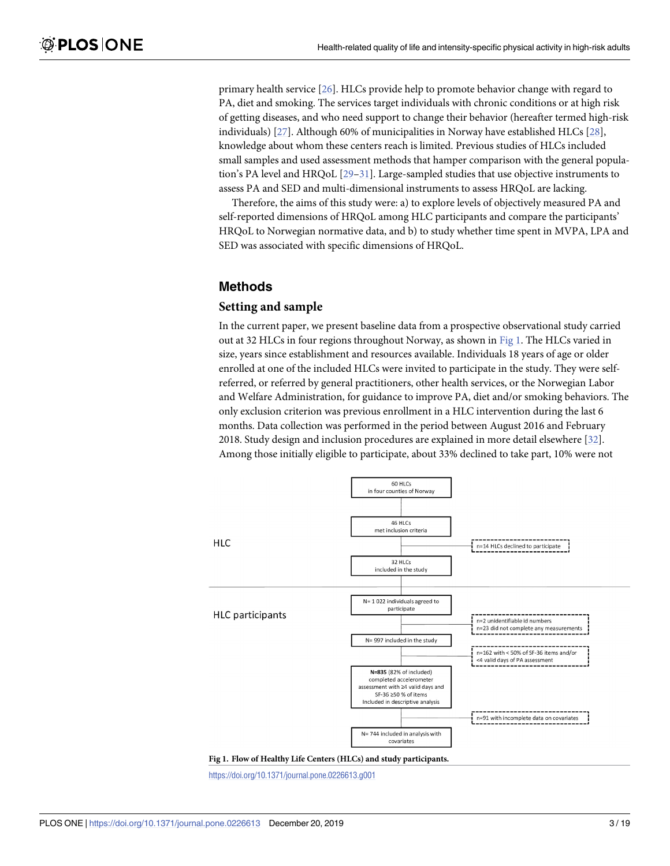<span id="page-2-0"></span>primary health service [\[26\]](#page-16-0). HLCs provide help to promote behavior change with regard to PA, diet and smoking. The services target individuals with chronic conditions or at high risk of getting diseases, and who need support to change their behavior (hereafter termed high-risk individuals) [\[27\]](#page-16-0). Although 60% of municipalities in Norway have established HLCs [[28](#page-16-0)], knowledge about whom these centers reach is limited. Previous studies of HLCs included small samples and used assessment methods that hamper comparison with the general population's PA level and HRQoL [[29–31\]](#page-16-0). Large-sampled studies that use objective instruments to assess PA and SED and multi-dimensional instruments to assess HRQoL are lacking.

Therefore, the aims of this study were: a) to explore levels of objectively measured PA and self-reported dimensions of HRQoL among HLC participants and compare the participants' HRQoL to Norwegian normative data, and b) to study whether time spent in MVPA, LPA and SED was associated with specific dimensions of HRQoL.

### **Methods**

### **Setting and sample**

In the current paper, we present baseline data from a prospective observational study carried out at 32 HLCs in four regions throughout Norway, as shown in Fig 1. The HLCs varied in size, years since establishment and resources available. Individuals 18 years of age or older enrolled at one of the included HLCs were invited to participate in the study. They were selfreferred, or referred by general practitioners, other health services, or the Norwegian Labor and Welfare Administration, for guidance to improve PA, diet and/or smoking behaviors. The only exclusion criterion was previous enrollment in a HLC intervention during the last 6 months. Data collection was performed in the period between August 2016 and February 2018. Study design and inclusion procedures are explained in more detail elsewhere [\[32\]](#page-16-0). Among those initially eligible to participate, about 33% declined to take part, 10% were not



<https://doi.org/10.1371/journal.pone.0226613.g001>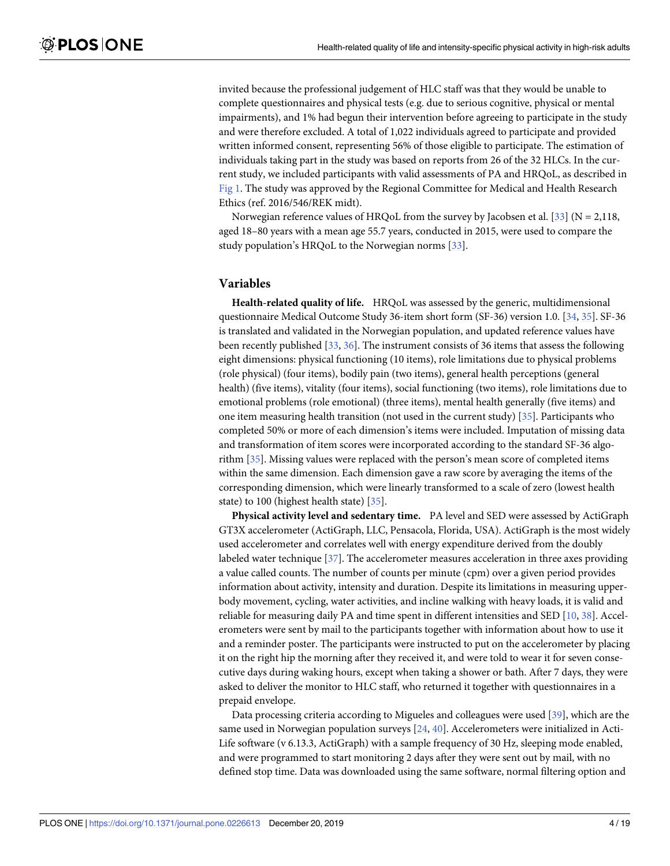<span id="page-3-0"></span>invited because the professional judgement of HLC staff was that they would be unable to complete questionnaires and physical tests (e.g. due to serious cognitive, physical or mental impairments), and 1% had begun their intervention before agreeing to participate in the study and were therefore excluded. A total of 1,022 individuals agreed to participate and provided written informed consent, representing 56% of those eligible to participate. The estimation of individuals taking part in the study was based on reports from 26 of the 32 HLCs. In the current study, we included participants with valid assessments of PA and HRQoL, as described in [Fig](#page-2-0) 1. The study was approved by the Regional Committee for Medical and Health Research Ethics (ref. 2016/546/REK midt).

Norwegian reference values of HRQoL from the survey by Jacobsen et al. [[33](#page-16-0)] ( $N = 2,118$ , aged 18–80 years with a mean age 55.7 years, conducted in 2015, were used to compare the study population's HRQoL to the Norwegian norms [[33](#page-16-0)].

### **Variables**

**Health-related quality of life.** HRQoL was assessed by the generic, multidimensional questionnaire Medical Outcome Study 36-item short form (SF-36) version 1.0. [\[34,](#page-16-0) [35\]](#page-16-0). SF-36 is translated and validated in the Norwegian population, and updated reference values have been recently published [[33](#page-16-0), [36](#page-17-0)]. The instrument consists of 36 items that assess the following eight dimensions: physical functioning (10 items), role limitations due to physical problems (role physical) (four items), bodily pain (two items), general health perceptions (general health) (five items), vitality (four items), social functioning (two items), role limitations due to emotional problems (role emotional) (three items), mental health generally (five items) and one item measuring health transition (not used in the current study) [[35](#page-16-0)]. Participants who completed 50% or more of each dimension's items were included. Imputation of missing data and transformation of item scores were incorporated according to the standard SF-36 algorithm [\[35\]](#page-16-0). Missing values were replaced with the person's mean score of completed items within the same dimension. Each dimension gave a raw score by averaging the items of the corresponding dimension, which were linearly transformed to a scale of zero (lowest health state) to 100 (highest health state) [[35](#page-16-0)].

**Physical activity level and sedentary time.** PA level and SED were assessed by ActiGraph GT3X accelerometer (ActiGraph, LLC, Pensacola, Florida, USA). ActiGraph is the most widely used accelerometer and correlates well with energy expenditure derived from the doubly labeled water technique [[37](#page-17-0)]. The accelerometer measures acceleration in three axes providing a value called counts. The number of counts per minute (cpm) over a given period provides information about activity, intensity and duration. Despite its limitations in measuring upperbody movement, cycling, water activities, and incline walking with heavy loads, it is valid and reliable for measuring daily PA and time spent in different intensities and SED [\[10,](#page-15-0) [38\]](#page-17-0). Accelerometers were sent by mail to the participants together with information about how to use it and a reminder poster. The participants were instructed to put on the accelerometer by placing it on the right hip the morning after they received it, and were told to wear it for seven consecutive days during waking hours, except when taking a shower or bath. After 7 days, they were asked to deliver the monitor to HLC staff, who returned it together with questionnaires in a prepaid envelope.

Data processing criteria according to Migueles and colleagues were used [\[39\]](#page-17-0), which are the same used in Norwegian population surveys [\[24,](#page-16-0) [40\]](#page-17-0). Accelerometers were initialized in Acti-Life software (v 6.13.3, ActiGraph) with a sample frequency of 30 Hz, sleeping mode enabled, and were programmed to start monitoring 2 days after they were sent out by mail, with no defined stop time. Data was downloaded using the same software, normal filtering option and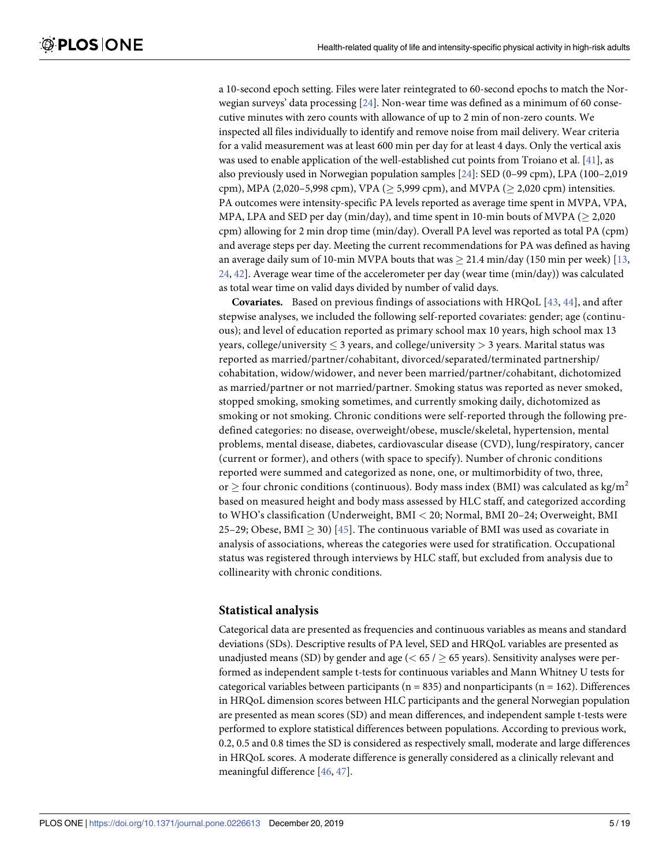<span id="page-4-0"></span>a 10-second epoch setting. Files were later reintegrated to 60-second epochs to match the Norwegian surveys' data processing [\[24\]](#page-16-0). Non-wear time was defined as a minimum of 60 consecutive minutes with zero counts with allowance of up to 2 min of non-zero counts. We inspected all files individually to identify and remove noise from mail delivery. Wear criteria for a valid measurement was at least 600 min per day for at least 4 days. Only the vertical axis was used to enable application of the well-established cut points from Troiano et al. [[41](#page-17-0)], as also previously used in Norwegian population samples [[24](#page-16-0)]: SED (0–99 cpm), LPA (100–2,019 cpm), MPA (2,020–5,998 cpm), VPA ( $\geq$  5,999 cpm), and MVPA ( $\geq$  2,020 cpm) intensities. PA outcomes were intensity-specific PA levels reported as average time spent in MVPA, VPA, MPA, LPA and SED per day (min/day), and time spent in 10-min bouts of MVPA ( $\geq 2,020$ cpm) allowing for 2 min drop time (min/day). Overall PA level was reported as total PA (cpm) and average steps per day. Meeting the current recommendations for PA was defined as having an average daily sum of 10-min MVPA bouts that was  $\geq$  21.4 min/day (150 min per week) [[13](#page-15-0), [24,](#page-16-0) [42](#page-17-0)]. Average wear time of the accelerometer per day (wear time (min/day)) was calculated as total wear time on valid days divided by number of valid days.

**Covariates.** Based on previous findings of associations with HRQoL [\[43](#page-17-0), [44\]](#page-17-0), and after stepwise analyses, we included the following self-reported covariates: gender; age (continuous); and level of education reported as primary school max 10 years, high school max 13 years, college/university � 3 years, and college/university *>* 3 years. Marital status was reported as married/partner/cohabitant, divorced/separated/terminated partnership/ cohabitation, widow/widower, and never been married/partner/cohabitant, dichotomized as married/partner or not married/partner. Smoking status was reported as never smoked, stopped smoking, smoking sometimes, and currently smoking daily, dichotomized as smoking or not smoking. Chronic conditions were self-reported through the following predefined categories: no disease, overweight/obese, muscle/skeletal, hypertension, mental problems, mental disease, diabetes, cardiovascular disease (CVD), lung/respiratory, cancer (current or former), and others (with space to specify). Number of chronic conditions reported were summed and categorized as none, one, or multimorbidity of two, three, or  $\geq$  four chronic conditions (continuous). Body mass index (BMI) was calculated as kg/m<sup>2</sup> based on measured height and body mass assessed by HLC staff, and categorized according to WHO's classification (Underweight, BMI *<* 20; Normal, BMI 20–24; Overweight, BMI 25–29; Obese, BMI  $\geq$  30) [\[45\]](#page-17-0). The continuous variable of BMI was used as covariate in analysis of associations, whereas the categories were used for stratification. Occupational status was registered through interviews by HLC staff, but excluded from analysis due to collinearity with chronic conditions.

### **Statistical analysis**

Categorical data are presented as frequencies and continuous variables as means and standard deviations (SDs). Descriptive results of PA level, SED and HRQoL variables are presented as unadjusted means (SD) by gender and age ( $< 65 / \ge 65$  years). Sensitivity analyses were performed as independent sample t-tests for continuous variables and Mann Whitney U tests for categorical variables between participants ( $n = 835$ ) and nonparticipants ( $n = 162$ ). Differences in HRQoL dimension scores between HLC participants and the general Norwegian population are presented as mean scores (SD) and mean differences, and independent sample t-tests were performed to explore statistical differences between populations. According to previous work, 0.2, 0.5 and 0.8 times the SD is considered as respectively small, moderate and large differences in HRQoL scores. A moderate difference is generally considered as a clinically relevant and meaningful difference [\[46,](#page-17-0) [47\]](#page-17-0).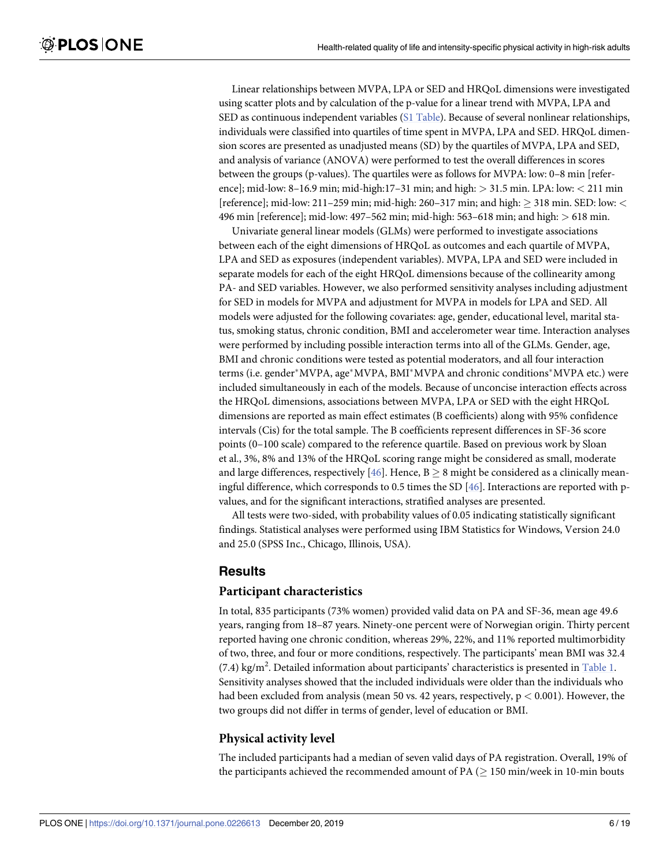<span id="page-5-0"></span>Linear relationships between MVPA, LPA or SED and HRQoL dimensions were investigated using scatter plots and by calculation of the p-value for a linear trend with MVPA, LPA and SED as continuous independent variables (S1 [Table](#page-14-0)). Because of several nonlinear relationships, individuals were classified into quartiles of time spent in MVPA, LPA and SED. HRQoL dimension scores are presented as unadjusted means (SD) by the quartiles of MVPA, LPA and SED, and analysis of variance (ANOVA) were performed to test the overall differences in scores between the groups (p-values). The quartiles were as follows for MVPA: low: 0–8 min [reference]; mid-low: 8–16.9 min; mid-high:17–31 min; and high: *>* 31.5 min. LPA: low: *<* 211 min [reference]; mid-low: 211–259 min; mid-high: 260–317 min; and high: � 318 min. SED: low: *<* 496 min [reference]; mid-low: 497–562 min; mid-high: 563–618 min; and high: *>* 618 min.

Univariate general linear models (GLMs) were performed to investigate associations between each of the eight dimensions of HRQoL as outcomes and each quartile of MVPA, LPA and SED as exposures (independent variables). MVPA, LPA and SED were included in separate models for each of the eight HRQoL dimensions because of the collinearity among PA- and SED variables. However, we also performed sensitivity analyses including adjustment for SED in models for MVPA and adjustment for MVPA in models for LPA and SED. All models were adjusted for the following covariates: age, gender, educational level, marital status, smoking status, chronic condition, BMI and accelerometer wear time. Interaction analyses were performed by including possible interaction terms into all of the GLMs. Gender, age, BMI and chronic conditions were tested as potential moderators, and all four interaction terms (i.e. gender\*MVPA, age\*MVPA, BMI\*MVPA and chronic conditions\*MVPA etc.) were included simultaneously in each of the models. Because of unconcise interaction effects across the HRQoL dimensions, associations between MVPA, LPA or SED with the eight HRQoL dimensions are reported as main effect estimates (B coefficients) along with 95% confidence intervals (Cis) for the total sample. The B coefficients represent differences in SF-36 score points (0–100 scale) compared to the reference quartile. Based on previous work by Sloan et al., 3%, 8% and 13% of the HRQoL scoring range might be considered as small, moderate and large differences, respectively [\[46\]](#page-17-0). Hence,  $B > 8$  might be considered as a clinically meaningful difference, which corresponds to 0.5 times the SD [\[46\]](#page-17-0). Interactions are reported with pvalues, and for the significant interactions, stratified analyses are presented.

All tests were two-sided, with probability values of 0.05 indicating statistically significant findings. Statistical analyses were performed using IBM Statistics for Windows, Version 24.0 and 25.0 (SPSS Inc., Chicago, Illinois, USA).

### **Results**

#### **Participant characteristics**

In total, 835 participants (73% women) provided valid data on PA and SF-36, mean age 49.6 years, ranging from 18–87 years. Ninety-one percent were of Norwegian origin. Thirty percent reported having one chronic condition, whereas 29%, 22%, and 11% reported multimorbidity of two, three, and four or more conditions, respectively. The participants' mean BMI was 32.4  $(7.4)$  kg/m<sup>2</sup>. Detailed information about participants' characteristics is presented in [Table](#page-6-0) 1. Sensitivity analyses showed that the included individuals were older than the individuals who had been excluded from analysis (mean 50 vs. 42 years, respectively, p *<* 0.001). However, the two groups did not differ in terms of gender, level of education or BMI.

### **Physical activity level**

The included participants had a median of seven valid days of PA registration. Overall, 19% of the participants achieved the recommended amount of PA ( $\geq$  150 min/week in 10-min bouts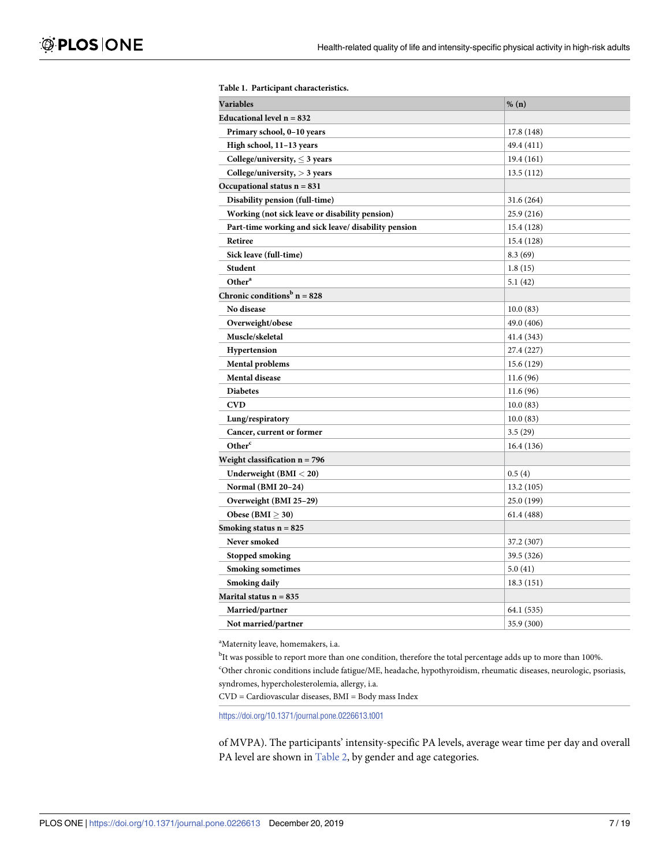<span id="page-6-0"></span>

| <b>Variables</b>                                     | % (n)      |
|------------------------------------------------------|------------|
| Educational level $n = 832$                          |            |
| Primary school, 0-10 years                           | 17.8 (148) |
| High school, 11-13 years                             | 49.4 (411) |
| College/university, $\leq$ 3 years                   | 19.4(161)  |
| College/university, $>$ 3 years                      | 13.5(112)  |
| Occupational status $n = 831$                        |            |
| Disability pension (full-time)                       | 31.6 (264) |
| Working (not sick leave or disability pension)       | 25.9(216)  |
| Part-time working and sick leave/ disability pension | 15.4 (128) |
| Retiree                                              | 15.4 (128) |
| Sick leave (full-time)                               | 8.3(69)    |
| Student                                              | 1.8(15)    |
| Other <sup>a</sup>                                   | 5.1(42)    |
| Chronic conditions <sup>b</sup> $n = 828$            |            |
| No disease                                           | 10.0(83)   |
| Overweight/obese                                     | 49.0 (406) |
| Muscle/skeletal                                      | 41.4 (343) |
| Hypertension                                         | 27.4 (227) |
| <b>Mental problems</b>                               | 15.6 (129) |
| <b>Mental disease</b>                                | 11.6(96)   |
| <b>Diabetes</b>                                      | 11.6(96)   |
| <b>CVD</b>                                           | 10.0(83)   |
| Lung/respiratory                                     | 10.0(83)   |
| Cancer, current or former                            | 3.5(29)    |
| Other <sup>c</sup>                                   | 16.4 (136) |
| Weight classification $n = 796$                      |            |
| Underweight $(BMI < 20)$                             | 0.5(4)     |
| Normal (BMI 20-24)                                   | 13.2(105)  |
| Overweight (BMI 25-29)                               | 25.0 (199) |
| Obese (BMI $\geq$ 30)                                | 61.4 (488) |
| Smoking status $n = 825$                             |            |
| Never smoked                                         | 37.2 (307) |
| Stopped smoking                                      | 39.5 (326) |
| <b>Smoking sometimes</b>                             | 5.0(41)    |
| Smoking daily                                        | 18.3(151)  |
| Marital status $n = 835$                             |            |
| Married/partner                                      | 64.1 (535) |
| Not married/partner                                  | 35.9 (300) |

| Table 1. Participant characteristics. |  |
|---------------------------------------|--|
|---------------------------------------|--|

<sup>a</sup>Maternity leave, homemakers, i.a.

<sup>b</sup>It was possible to report more than one condition, therefore the total percentage adds up to more than 100%. c Other chronic conditions include fatigue/ME, headache, hypothyroidism, rheumatic diseases, neurologic, psoriasis,

syndromes, hypercholesterolemia, allergy, i.a.

 $\mathrm{CVD} = \mathrm{Cardio}$ vascular diseases, $\mathrm{BMI} = \mathrm{Body}$  mass $\mathrm{Index}$ 

<https://doi.org/10.1371/journal.pone.0226613.t001>

of MVPA). The participants' intensity-specific PA levels, average wear time per day and overall PA level are shown in [Table](#page-7-0) 2, by gender and age categories.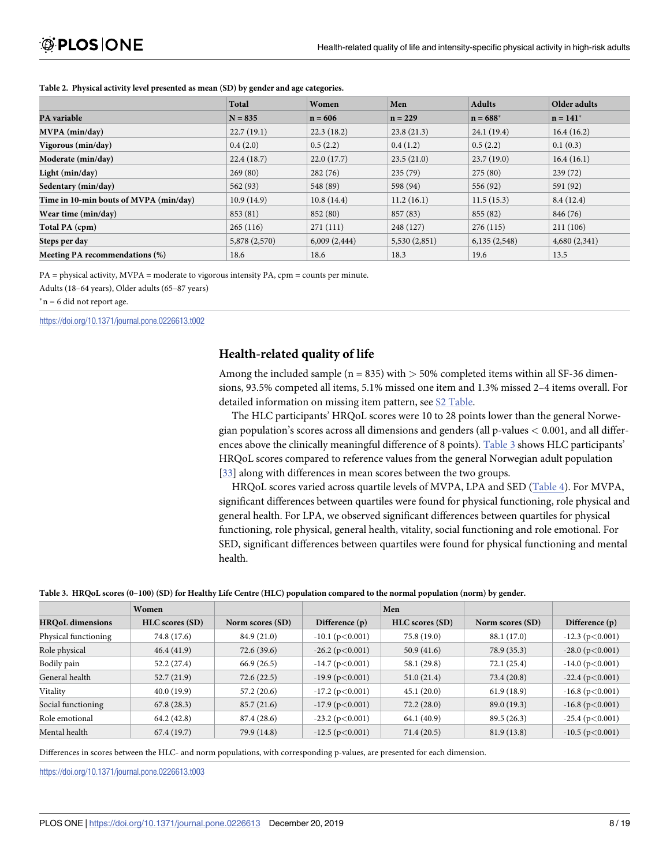|                                        | Total         | Women        | Men           | <b>Adults</b> | Older adults |
|----------------------------------------|---------------|--------------|---------------|---------------|--------------|
| PA variable                            | $N = 835$     | $n = 606$    | $n = 229$     | $n = 688^*$   | $n = 141^*$  |
| $MVPA$ (min/day)                       | 22.7(19.1)    | 22.3(18.2)   | 23.8(21.3)    | 24.1(19.4)    | 16.4(16.2)   |
| Vigorous (min/day)                     | 0.4(2.0)      | 0.5(2.2)     | 0.4(1.2)      | 0.5(2.2)      | 0.1(0.3)     |
| Moderate (min/day)                     | 22.4(18.7)    | 22.0(17.7)   | 23.5(21.0)    | 23.7(19.0)    | 16.4(16.1)   |
| Light (min/day)                        | 269(80)       | 282(76)      | 235(79)       | 275(80)       | 239(72)      |
| Sedentary (min/day)                    | 562(93)       | 548 (89)     | 598 (94)      | 556 (92)      | 591 (92)     |
| Time in 10-min bouts of MVPA (min/day) | 10.9(14.9)    | 10.8(14.4)   | 11.2(16.1)    | 11.5(15.3)    | 8.4(12.4)    |
| Wear time (min/day)                    | 853 (81)      | 852 (80)     | 857 (83)      | 855 (82)      | 846 (76)     |
| Total PA (cpm)                         | 265(116)      | 271(111)     | 248 (127)     | 276(115)      | 211(106)     |
| Steps per day                          | 5,878 (2,570) | 6,009(2,444) | 5,530 (2,851) | 6,135(2,548)  | 4,680(2,341) |
| Meeting PA recommendations (%)         | 18.6          | 18.6         | 18.3          | 19.6          | 13.5         |

#### <span id="page-7-0"></span>**[Table](#page-6-0) 2. Physical activity level presented as mean (SD) by gender and age categories.**

PA = physical activity, MVPA = moderate to vigorous intensity PA, cpm = counts per minute.

Adults (18–64 years), Older adults (65–87 years)

�n = 6 did not report age.

<https://doi.org/10.1371/journal.pone.0226613.t002>

### **Health-related quality of life**

Among the included sample (n = 835) with *>* 50% completed items within all SF-36 dimensions, 93.5% competed all items, 5.1% missed one item and 1.3% missed 2–4 items overall. For detailed information on missing item pattern, see S2 [Table](#page-14-0).

The HLC participants' HRQoL scores were 10 to 28 points lower than the general Norwegian population's scores across all dimensions and genders (all p-values *<* 0.001, and all differences above the clinically meaningful difference of 8 points). Table 3 shows HLC participants' HRQoL scores compared to reference values from the general Norwegian adult population [\[33\]](#page-16-0) along with differences in mean scores between the two groups.

HRQoL scores varied across quartile levels of MVPA, LPA and SED ([Table](#page-8-0) 4). For MVPA, significant differences between quartiles were found for physical functioning, role physical and general health. For LPA, we observed significant differences between quartiles for physical functioning, role physical, general health, vitality, social functioning and role emotional. For SED, significant differences between quartiles were found for physical functioning and mental health.

| Table 3. HRQoL scores (0-100) (SD) for Healthy Life Centre (HLC) population compared to the normal population (norm) by gender. |  |  |
|---------------------------------------------------------------------------------------------------------------------------------|--|--|
|---------------------------------------------------------------------------------------------------------------------------------|--|--|

|                         | Women           |                  |                        | Men             |                  |                        |
|-------------------------|-----------------|------------------|------------------------|-----------------|------------------|------------------------|
| <b>HROoL</b> dimensions | HLC scores (SD) | Norm scores (SD) | Difference $(p)$       | HLC scores (SD) | Norm scores (SD) | Difference $(p)$       |
| Physical functioning    | 74.8 (17.6)     | 84.9 (21.0)      | $-10.1$ (p $< 0.001$ ) | 75.8 (19.0)     | 88.1 (17.0)      | $-12.3$ (p $< 0.001$ ) |
| Role physical           | 46.4(41.9)      | 72.6 (39.6)      | $-26.2$ (p $< 0.001$ ) | 50.9(41.6)      | 78.9(35.3)       | $-28.0$ (p $< 0.001$ ) |
| Bodily pain             | 52.2(27.4)      | 66.9(26.5)       | $-14.7$ (p $< 0.001$ ) | 58.1 (29.8)     | 72.1 (25.4)      | $-14.0$ (p $< 0.001$ ) |
| General health          | 52.7(21.9)      | 72.6(22.5)       | $-19.9$ (p $< 0.001$ ) | 51.0(21.4)      | 73.4 (20.8)      | $-22.4$ ( $p<0.001$ )  |
| Vitality                | 40.0(19.9)      | 57.2(20.6)       | $-17.2$ ( $p<0.001$ )  | 45.1(20.0)      | 61.9(18.9)       | $-16.8$ (p $< 0.001$ ) |
| Social functioning      | 67.8(28.3)      | 85.7(21.6)       | $-17.9$ (p $< 0.001$ ) | 72.2(28.0)      | 89.0 (19.3)      | $-16.8$ (p $< 0.001$ ) |
| Role emotional          | 64.2(42.8)      | 87.4 (28.6)      | $-23.2$ ( $p<0.001$ )  | 64.1 (40.9)     | 89.5(26.3)       | $-25.4$ ( $p<0.001$ )  |
| Mental health           | 67.4(19.7)      | 79.9 (14.8)      | $-12.5$ (p $< 0.001$ ) | 71.4(20.5)      | 81.9(13.8)       | $-10.5$ (p $< 0.001$ ) |

Differences in scores between the HLC- and norm populations, with corresponding p-values, are presented for each dimension.

<https://doi.org/10.1371/journal.pone.0226613.t003>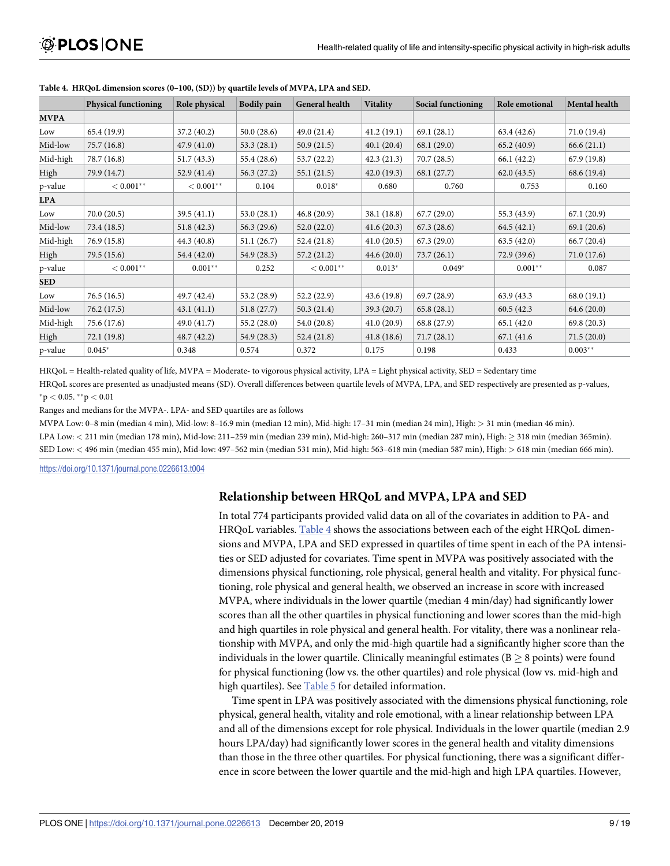|             | <b>Physical functioning</b> | Role physical | <b>Bodily pain</b> | General health | <b>Vitality</b> | Social functioning | Role emotional | Mental health |
|-------------|-----------------------------|---------------|--------------------|----------------|-----------------|--------------------|----------------|---------------|
| <b>MVPA</b> |                             |               |                    |                |                 |                    |                |               |
| Low         | 65.4 (19.9)                 | 37.2(40.2)    | 50.0(28.6)         | 49.0(21.4)     | 41.2(19.1)      | 69.1(28.1)         | 63.4(42.6)     | 71.0(19.4)    |
| Mid-low     | 75.7 (16.8)                 | 47.9(41.0)    | 53.3(28.1)         | 50.9(21.5)     | 40.1(20.4)      | 68.1(29.0)         | 65.2 (40.9)    | 66.6(21.1)    |
| Mid-high    | 78.7 (16.8)                 | 51.7(43.3)    | 55.4 (28.6)        | 53.7(22.2)     | 42.3(21.3)      | 70.7(28.5)         | 66.1(42.2)     | 67.9(19.8)    |
| High        | 79.9 (14.7)                 | 52.9(41.4)    | 56.3(27.2)         | 55.1(21.5)     | 42.0(19.3)      | 68.1(27.7)         | 62.0(43.5)     | 68.6 (19.4)   |
| p-value     | $< 0.001$ **                | $< 0.001$ **  | 0.104              | $0.018*$       | 0.680           | 0.760              | 0.753          | 0.160         |
| <b>LPA</b>  |                             |               |                    |                |                 |                    |                |               |
| Low         | 70.0(20.5)                  | 39.5(41.1)    | 53.0(28.1)         | 46.8(20.9)     | 38.1 (18.8)     | 67.7(29.0)         | 55.3 (43.9)    | 67.1(20.9)    |
| Mid-low     | 73.4 (18.5)                 | 51.8(42.3)    | 56.3(29.6)         | 52.0(22.0)     | 41.6(20.3)      | 67.3(28.6)         | 64.5(42.1)     | 69.1(20.6)    |
| Mid-high    | 76.9 (15.8)                 | 44.3 (40.8)   | 51.1(26.7)         | 52.4(21.8)     | 41.0(20.5)      | 67.3(29.0)         | 63.5(42.0)     | 66.7(20.4)    |
| High        | 79.5 (15.6)                 | 54.4 (42.0)   | 54.9 (28.3)        | 57.2(21.2)     | 44.6(20.0)      | 73.7(26.1)         | 72.9(39.6)     | 71.0 (17.6)   |
| p-value     | $< 0.001$ **                | $0.001**$     | 0.252              | $< 0.001**$    | $0.013*$        | $0.049*$           | $0.001**$      | 0.087         |
| <b>SED</b>  |                             |               |                    |                |                 |                    |                |               |
| Low         | 76.5(16.5)                  | 49.7 (42.4)   | 53.2(28.9)         | 52.2(22.9)     | 43.6(19.8)      | 69.7(28.9)         | 63.9 (43.3)    | 68.0(19.1)    |
| Mid-low     | 76.2(17.5)                  | 43.1(41.1)    | 51.8(27.7)         | 50.3(21.4)     | 39.3 (20.7)     | 65.8(28.1)         | 60.5 (42.3)    | 64.6(20.0)    |
| Mid-high    | 75.6 (17.6)                 | 49.0 (41.7)   | 55.2(28.0)         | 54.0(20.8)     | 41.0(20.9)      | 68.8 (27.9)        | 65.1 (42.0)    | 69.8(20.3)    |
| High        | 72.1 (19.8)                 | 48.7 (42.2)   | 54.9 (28.3)        | 52.4(21.8)     | 41.8(18.6)      | 71.7(28.1)         | 67.1 (41.6)    | 71.5(20.0)    |
| p-value     | $0.045*$                    | 0.348         | 0.574              | 0.372          | 0.175           | 0.198              | 0.433          | $0.003**$     |

#### <span id="page-8-0"></span>**[Table](#page-7-0) 4. HRQoL dimension scores (0–100, (SD)) by quartile levels of MVPA, LPA and SED.**

HRQoL = Health-related quality of life, MVPA = Moderate- to vigorous physical activity, LPA = Light physical activity, SED = Sedentary time

HRQoL scores are presented as unadjusted means (SD). Overall differences between quartile levels of MVPA, LPA, and SED respectively are presented as p-values,  $p < 0.05$ . \*\*p  $< 0.01$ 

Ranges and medians for the MVPA-. LPA- and SED quartiles are as follows

MVPA Low: 0–8 min (median 4 min), Mid-low: 8–16.9 min (median 12 min), Mid-high: 17–31 min (median 24 min), High: *>* 31 min (median 46 min). LPA Low: *<* 211 min (median 178 min), Mid-low: 211–259 min (median 239 min), Mid-high: 260–317 min (median 287 min), High: � 318 min (median 365min). SED Low: *<* 496 min (median 455 min), Mid-low: 497–562 min (median 531 min), Mid-high: 563–618 min (median 587 min), High: *>* 618 min (median 666 min).

<https://doi.org/10.1371/journal.pone.0226613.t004>

### **Relationship between HRQoL and MVPA, LPA and SED**

In total 774 participants provided valid data on all of the covariates in addition to PA- and HRQoL variables. Table 4 shows the associations between each of the eight HRQoL dimensions and MVPA, LPA and SED expressed in quartiles of time spent in each of the PA intensities or SED adjusted for covariates. Time spent in MVPA was positively associated with the dimensions physical functioning, role physical, general health and vitality. For physical functioning, role physical and general health, we observed an increase in score with increased MVPA, where individuals in the lower quartile (median 4 min/day) had significantly lower scores than all the other quartiles in physical functioning and lower scores than the mid-high and high quartiles in role physical and general health. For vitality, there was a nonlinear relationship with MVPA, and only the mid-high quartile had a significantly higher score than the individuals in the lower quartile. Clinically meaningful estimates ( $B > 8$  points) were found for physical functioning (low vs. the other quartiles) and role physical (low vs. mid-high and high quartiles). See [Table](#page-9-0) 5 for detailed information.

Time spent in LPA was positively associated with the dimensions physical functioning, role physical, general health, vitality and role emotional, with a linear relationship between LPA and all of the dimensions except for role physical. Individuals in the lower quartile (median 2.9 hours LPA/day) had significantly lower scores in the general health and vitality dimensions than those in the three other quartiles. For physical functioning, there was a significant difference in score between the lower quartile and the mid-high and high LPA quartiles. However,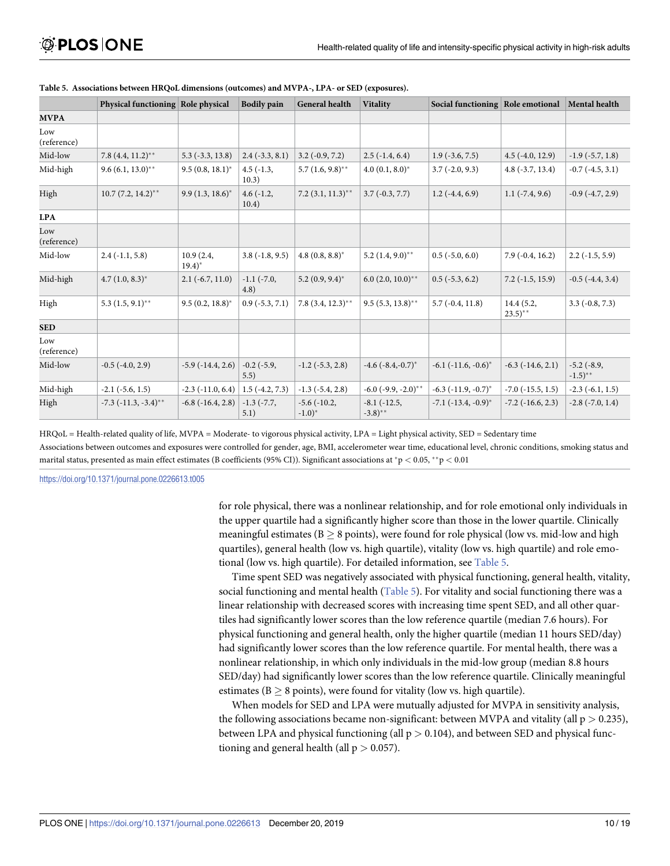|                    | Physical functioning Role physical |                                  | <b>Bodily pain</b>        | <b>General health</b>                | <b>Vitality</b>                 | Social functioning Role emotional |                           | <b>Mental health</b>                      |
|--------------------|------------------------------------|----------------------------------|---------------------------|--------------------------------------|---------------------------------|-----------------------------------|---------------------------|-------------------------------------------|
| <b>MVPA</b>        |                                    |                                  |                           |                                      |                                 |                                   |                           |                                           |
| Low<br>(reference) |                                    |                                  |                           |                                      |                                 |                                   |                           |                                           |
| Mid-low            | $7.8(4.4, 11.2)$ **                | $5.3(-3.3, 13.8)$                | $2.4 (-3.3, 8.1)$         | $3.2(-0.9, 7.2)$                     | $2.5(-1.4, 6.4)$                | $1.9$ ( $-3.6$ , $7.5$ )          | $4.5$ ( $-4.0$ , 12.9)    | $-1.9$ $(-5.7, 1.8)$                      |
| Mid-high           | $9.6(6.1, 13.0)$ **                | $9.5(0.8, 18.1)^*$               | $4.5(-1.3,$<br>10.3)      | $5.7(1.6, 9.8)$ **                   | $4.0 (0.1, 8.0)^*$              | $3.7(-2.0, 9.3)$                  | $4.8(-3.7, 13.4)$         | $-0.7$ $(-4.5, 3.1)$                      |
| High               | $10.7 (7.2, 14.2)^{**}$            | $9.9(1.3, 18.6)^*$               | $4.6(-1.2,$<br>10.4)      | $7.2(3.1, 11.3)$ **                  | $3.7(-0.3, 7.7)$                | $1.2$ (-4.4, 6.9)                 | $1.1(-7.4, 9.6)$          | $-0.9$ $(-4.7, 2.9)$                      |
| <b>LPA</b>         |                                    |                                  |                           |                                      |                                 |                                   |                           |                                           |
| Low<br>(reference) |                                    |                                  |                           |                                      |                                 |                                   |                           |                                           |
| Mid-low            | $2.4(-1.1, 5.8)$                   | 10.9(2.4,<br>$19.4$ <sup>*</sup> | $3.8(-1.8, 9.5)$          | $4.8(0.8, 8.8)^*$                    | $5.2 (1.4, 9.0)^{**}$           | $0.5$ ( $-5.0, 6.0$ )             | $7.9(-0.4, 16.2)$         | $2.2$ ( $-1.5, 5.9$ )                     |
| Mid-high           | $4.7(1.0, 8.3)^*$                  | $2.1(-6.7, 11.0)$                | $-1.1$ $(-7.0,$<br>4.8)   | $5.2(0.9, 9.4)^{*}$                  | $6.0 (2.0, 10.0)^{**}$          | $0.5$ ( $-5.3$ , 6.2)             | $7.2(-1.5, 15.9)$         | $-0.5$ $(-4.4, 3.4)$                      |
| High               | $5.3(1.5, 9.1)^{**}$               | $9.5(0.2, 18.8)^*$               | $0.9(-5.3, 7.1)$          | $7.8(3.4, 12.3)$ **                  | $9.5(5.3, 13.8)$ **             | $5.7(-0.4, 11.8)$                 | 14.4 (5.2,<br>$(23.5)$ ** | $3.3(-0.8, 7.3)$                          |
| <b>SED</b>         |                                    |                                  |                           |                                      |                                 |                                   |                           |                                           |
| Low<br>(reference) |                                    |                                  |                           |                                      |                                 |                                   |                           |                                           |
| Mid-low            | $-0.5$ $(-4.0, 2.9)$               | $-5.9$ $(-14.4, 2.6)$            | $-0.2$ ( $-5.9$ ,<br>5.5) | $-1.2$ $(-5.3, 2.8)$                 | $-4.6$ ( $-8.4,-0.7$ )*         | $-6.1$ $(-11.6, -0.6)^*$          | $-6.3$ $(-14.6, 2.1)$     | $-5.2$ ( $-8.9$ )<br>$-1.5$ <sup>**</sup> |
| Mid-high           | $-2.1$ $(-5.6, 1.5)$               | $-2.3$ $(-11.0, 6.4)$            | $1.5(-4.2, 7.3)$          | $-1.3$ $(-5.4, 2.8)$                 | $-6.0$ ( $-9.9, -2.0$ )**       | $-6.3$ $(-11.9, -0.7)^*$          | $-7.0$ ( $-15.5$ , 1.5)   | $-2.3$ $(-6.1, 1.5)$                      |
| High               | $-7.3$ ( $-11.3$ , $-3.4$ )**      | $-6.8$ $(-16.4, 2.8)$            | $-1.3$ $(-7.7,$<br>5.1)   | $-5.6(-10.2,$<br>$-1.0$ <sup>*</sup> | $-8.1$ $(-12.5,$<br>$(-3.8)$ ** | $-7.1$ ( $-13.4$ , $-0.9$ )*      | $-7.2$ ( $-16.6$ , 2.3)   | $-2.8$ $(-7.0, 1.4)$                      |

#### <span id="page-9-0"></span>**[Table](#page-8-0) 5. Associations between HRQoL dimensions (outcomes) and MVPA-, LPA- or SED (exposures).**

HRQoL = Health-related quality of life, MVPA = Moderate- to vigorous physical activity, LPA = Light physical activity, SED = Sedentary time Associations between outcomes and exposures were controlled for gender, age, BMI, accelerometer wear time, educational level, chronic conditions, smoking status and marital status, presented as main effect estimates (B coefficients (95% CI)). Significant associations at �p *<* 0.05, ��p *<* 0.01

<https://doi.org/10.1371/journal.pone.0226613.t005>

for role physical, there was a nonlinear relationship, and for role emotional only individuals in the upper quartile had a significantly higher score than those in the lower quartile. Clinically meaningful estimates ( $B > 8$  points), were found for role physical (low vs. mid-low and high quartiles), general health (low vs. high quartile), vitality (low vs. high quartile) and role emotional (low vs. high quartile). For detailed information, see Table 5.

Time spent SED was negatively associated with physical functioning, general health, vitality, social functioning and mental health (Table 5). For vitality and social functioning there was a linear relationship with decreased scores with increasing time spent SED, and all other quartiles had significantly lower scores than the low reference quartile (median 7.6 hours). For physical functioning and general health, only the higher quartile (median 11 hours SED/day) had significantly lower scores than the low reference quartile. For mental health, there was a nonlinear relationship, in which only individuals in the mid-low group (median 8.8 hours SED/day) had significantly lower scores than the low reference quartile. Clinically meaningful estimates ( $B \ge 8$  points), were found for vitality (low vs. high quartile).

When models for SED and LPA were mutually adjusted for MVPA in sensitivity analysis, the following associations became non-significant: between MVPA and vitality (all p *>* 0.235), between LPA and physical functioning (all p *>* 0.104), and between SED and physical functioning and general health (all  $p > 0.057$ ).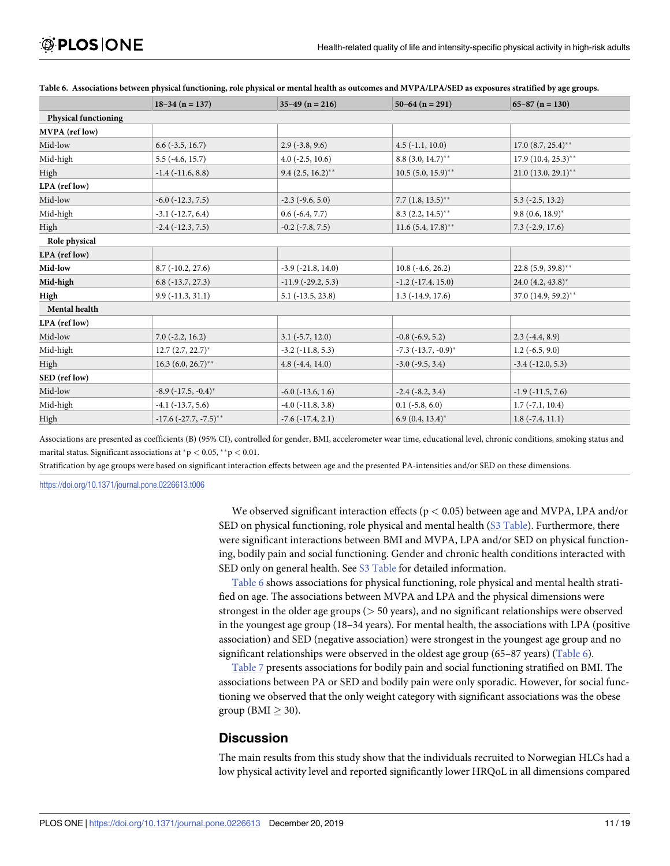|                             | $18-34 (n = 137)$            | $35-49$ (n = 216)        | $50-64$ (n = 291)               | $65 - 87$ (n = 130)    |
|-----------------------------|------------------------------|--------------------------|---------------------------------|------------------------|
| <b>Physical functioning</b> |                              |                          |                                 |                        |
| MVPA (ref low)              |                              |                          |                                 |                        |
| Mid-low                     | $6.6$ ( $-3.5$ , 16.7)       | $2.9(-3.8, 9.6)$         | $4.5(-1.1, 10.0)$               | $17.0 (8.7, 25.4)$ **  |
| Mid-high                    | $5.5$ ( $-4.6$ , $15.7$ )    | $4.0$ ( $-2.5$ , 10.6)   | 8.8 (3.0, 14.7)**               | $17.9(10.4, 25.3)$ **  |
| High                        | $-1.4$ $(-11.6, 8.8)$        | $9.4(2.5, 16.2)$ **      | $10.5(5.0, 15.9)$ **            | $21.0 (13.0, 29.1)$ ** |
| LPA (ref low)               |                              |                          |                                 |                        |
| Mid-low                     | $-6.0$ $(-12.3, 7.5)$        | $-2.3$ $(-9.6, 5.0)$     | 7.7 $(1.8, 13.5)$ <sup>**</sup> | $5.3$ ( $-2.5$ , 13.2) |
| Mid-high                    | $-3.1$ $(-12.7, 6.4)$        | $0.6(-6.4, 7.7)$         | $8.3$ (2.2, 14.5) <sup>**</sup> | $9.8(0.6, 18.9)^*$     |
| High                        | $-2.4$ $(-12.3, 7.5)$        | $-0.2$ $(-7.8, 7.5)$     | $11.6(5.4, 17.8)$ **            | $7.3$ ( $-2.9$ , 17.6) |
| Role physical               |                              |                          |                                 |                        |
| LPA (ref low)               |                              |                          |                                 |                        |
| Mid-low                     | $8.7$ ( $-10.2$ , 27.6)      | $-3.9$ $(-21.8, 14.0)$   | $10.8(-4.6, 26.2)$              | 22.8 (5.9, 39.8)**     |
| Mid-high                    | $6.8$ ( $-13.7, 27.3$ )      | $-11.9$ ( $-29.2, 5.3$ ) | $-1.2$ $(-17.4, 15.0)$          | $24.0 (4.2, 43.8)^*$   |
| High                        | $9.9(-11.3, 31.1)$           | $5.1$ ( $-13.5$ , 23.8)  | $1.3$ ( $-14.9$ , $17.6$ )      | 37.0 (14.9, 59.2)**    |
| Mental health               |                              |                          |                                 |                        |
| LPA (ref low)               |                              |                          |                                 |                        |
| Mid-low                     | $7.0(-2.2, 16.2)$            | $3.1(-5.7, 12.0)$        | $-0.8$ $(-6.9, 5.2)$            | $2.3(-4.4, 8.9)$       |
| Mid-high                    | $12.7(2.7, 22.7)^*$          | $-3.2$ ( $-11.8$ , 5.3)  | $-7.3$ $(-13.7, -0.9)^*$        | $1.2(-6.5, 9.0)$       |
| High                        | $16.3 (6.0, 26.7)$ **        | $4.8(-4.4, 14.0)$        | $-3.0$ $(-9.5, 3.4)$            | $-3.4$ $(-12.0, 5.3)$  |
| SED (ref low)               |                              |                          |                                 |                        |
| Mid-low                     | $-8.9$ ( $-17.5$ , $-0.4$ )* | $-6.0$ $(-13.6, 1.6)$    | $-2.4$ $(-8.2, 3.4)$            | $-1.9$ $(-11.5, 7.6)$  |
| Mid-high                    | $-4.1$ $(-13.7, 5.6)$        | $-4.0$ $(-11.8, 3.8)$    | $0.1$ ( $-5.8, 6.0$ )           | $1.7(-7.1, 10.4)$      |
| High                        | $-17.6$ $(-27.7, -7.5)$ **   | $-7.6$ $(-17.4, 2.1)$    | $6.9(0.4, 13.4)^*$              | $1.8(-7.4, 11.1)$      |

#### <span id="page-10-0"></span>Table 6. Associations between physical functioning, role physical or mental health as outcomes and MVPA/LPA/SED as exposures stratified by age groups.

Associations are presented as coefficients (B) (95% CI), controlled for gender, BMI, accelerometer wear time, educational level, chronic conditions, smoking status and marital status. Significant associations at  $p < 0.05$ ,  $* p < 0.01$ .

Stratification by age groups were based on significant interaction effects between age and the presented PA-intensities and/or SED on these dimensions.

<https://doi.org/10.1371/journal.pone.0226613.t006>

We observed significant interaction effects (p *<* 0.05) between age and MVPA, LPA and/or SED on physical functioning, role physical and mental health (S3 [Table](#page-14-0)). Furthermore, there were significant interactions between BMI and MVPA, LPA and/or SED on physical functioning, bodily pain and social functioning. Gender and chronic health conditions interacted with SED only on general health. See S3 [Table](#page-14-0) for detailed information.

Table 6 shows associations for physical functioning, role physical and mental health stratified on age. The associations between MVPA and LPA and the physical dimensions were strongest in the older age groups (*>* 50 years), and no significant relationships were observed in the youngest age group (18–34 years). For mental health, the associations with LPA (positive association) and SED (negative association) were strongest in the youngest age group and no significant relationships were observed in the oldest age group (65–87 years) (Table 6).

[Table](#page-11-0) 7 presents associations for bodily pain and social functioning stratified on BMI. The associations between PA or SED and bodily pain were only sporadic. However, for social functioning we observed that the only weight category with significant associations was the obese group (BMI  $\geq$  30).

### **Discussion**

The main results from this study show that the individuals recruited to Norwegian HLCs had a low physical activity level and reported significantly lower HRQoL in all dimensions compared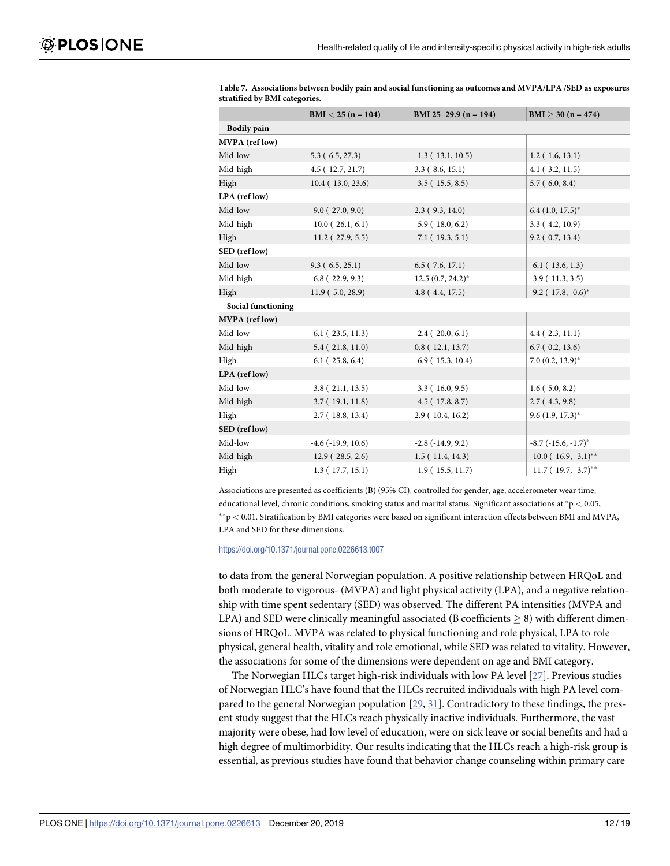|                       | $BMI < 25 (n = 104)$        | BMI 25-29.9 ( $n = 194$ )  | $BMI > 30 (n = 474)$           |
|-----------------------|-----------------------------|----------------------------|--------------------------------|
| <b>Bodily pain</b>    |                             |                            |                                |
| <b>MVPA</b> (ref low) |                             |                            |                                |
| Mid-low               | $5.3(-6.5, 27.3)$           | $-1.3$ $(-13.1, 10.5)$     | $1.2$ ( $-1.6$ , $13.1$ )      |
| Mid-high              | $4.5$ ( $-12.7$ , $21.7$ )  | $3.3$ ( $-8.6$ , 15.1)     | $4.1(-3.2, 11.5)$              |
| High                  | $10.4$ ( $-13.0$ , 23.6)    | $-3.5$ ( $-15.5$ , 8.5)    | $5.7(-6.0, 8.4)$               |
| LPA (ref low)         |                             |                            |                                |
| Mid-low               | $-9.0$ $(-27.0, 9.0)$       | $2.3$ (-9.3, 14.0)         | $6.4(1.0, 17.5)^*$             |
| Mid-high              | $-10.0$ $(-26.1, 6.1)$      | $-5.9$ ( $-18.0, 6.2$ )    | $3.3(-4.2, 10.9)$              |
| High                  | $-11.2$ $(-27.9, 5.5)$      | $-7.1$ $(-19.3, 5.1)$      | $9.2(-0.7, 13.4)$              |
| SED (ref low)         |                             |                            |                                |
| Mid-low               | $9.3(-6.5, 25.1)$           | $6.5$ ( $-7.6$ , 17.1)     | $-6.1$ $(-13.6, 1.3)$          |
| Mid-high              | $-6.8$ $(-22.9, 9.3)$       | $12.5(0.7, 24.2)^{*}$      | $-3.9$ ( $-11.3$ , 3.5)        |
| High                  | $11.9(-5.0, 28.9)$          | $4.8(-4.4, 17.5)$          | $-9.2$ ( $-17.8$ , $-0.6$ )*   |
| Social functioning    |                             |                            |                                |
| <b>MVPA</b> (ref low) |                             |                            |                                |
| Mid-low               | $-6.1$ $(-23.5, 11.3)$      | $-2.4$ $(-20.0, 6.1)$      | $4.4$ ( $-2.3$ , 11.1)         |
| Mid-high              | $-5.4$ $(-21.8, 11.0)$      | $0.8$ ( $-12.1$ , $13.7$ ) | $6.7$ ( $-0.2$ , 13.6)         |
| High                  | $-6.1$ $(-25.8, 6.4)$       | $-6.9$ ( $-15.3$ , 10.4)   | $7.0 (0.2, 13.9)^*$            |
| LPA (ref low)         |                             |                            |                                |
| Mid-low               | $-3.8$ $(-21.1, 13.5)$      | $-3.3$ $(-16.0, 9.5)$      | $1.6$ ( $-5.0$ , 8.2)          |
| Mid-high              | $-3.7$ $(-19.1, 11.8)$      | $-4.5$ $(-17.8, 8.7)$      | $2.7(-4.3, 9.8)$               |
| High                  | $-2.7$ ( $-18.8$ , 13.4)    | $2.9$ ( $-10.4$ , $16.2$ ) | $9.6(1.9, 17.3)^{*}$           |
| SED (ref low)         |                             |                            |                                |
| Mid-low               | $-4.6$ ( $-19.9$ , $10.6$ ) | $-2.8$ $(-14.9, 9.2)$      | $-8.7$ ( $-15.6$ , $-1.7$ )*   |
| Mid-high              | $-12.9$ $(-28.5, 2.6)$      | $1.5$ ( $-11.4$ , $14.3$ ) | $-10.0$ ( $-16.9, -3.1$ )**    |
| High                  | $-1.3$ $(-17.7, 15.1)$      | $-1.9$ ( $-15.5$ , 11.7)   | $-11.7$ ( $-19.7$ , $-3.7$ )** |

<span id="page-11-0"></span>**[Table](#page-10-0) 7. Associations between bodily pain and social functioning as outcomes and MVPA/LPA /SED as exposures stratified by BMI categories.**

Associations are presented as coefficients (B) (95% CI), controlled for gender, age, accelerometer wear time, educational level, chronic conditions, smoking status and marital status. Significant associations at �p *<* 0.05, ��p *<* 0.01. Stratification by BMI categories were based on significant interaction effects between BMI and MVPA, LPA and SED for these dimensions.

<https://doi.org/10.1371/journal.pone.0226613.t007>

to data from the general Norwegian population. A positive relationship between HRQoL and both moderate to vigorous- (MVPA) and light physical activity (LPA), and a negative relationship with time spent sedentary (SED) was observed. The different PA intensities (MVPA and LPA) and SED were clinically meaningful associated (B coefficients  $\geq$  8) with different dimensions of HRQoL. MVPA was related to physical functioning and role physical, LPA to role physical, general health, vitality and role emotional, while SED was related to vitality. However, the associations for some of the dimensions were dependent on age and BMI category.

The Norwegian HLCs target high-risk individuals with low PA level [[27](#page-16-0)]. Previous studies of Norwegian HLC's have found that the HLCs recruited individuals with high PA level compared to the general Norwegian population [\[29,](#page-16-0) [31\]](#page-16-0). Contradictory to these findings, the present study suggest that the HLCs reach physically inactive individuals. Furthermore, the vast majority were obese, had low level of education, were on sick leave or social benefits and had a high degree of multimorbidity. Our results indicating that the HLCs reach a high-risk group is essential, as previous studies have found that behavior change counseling within primary care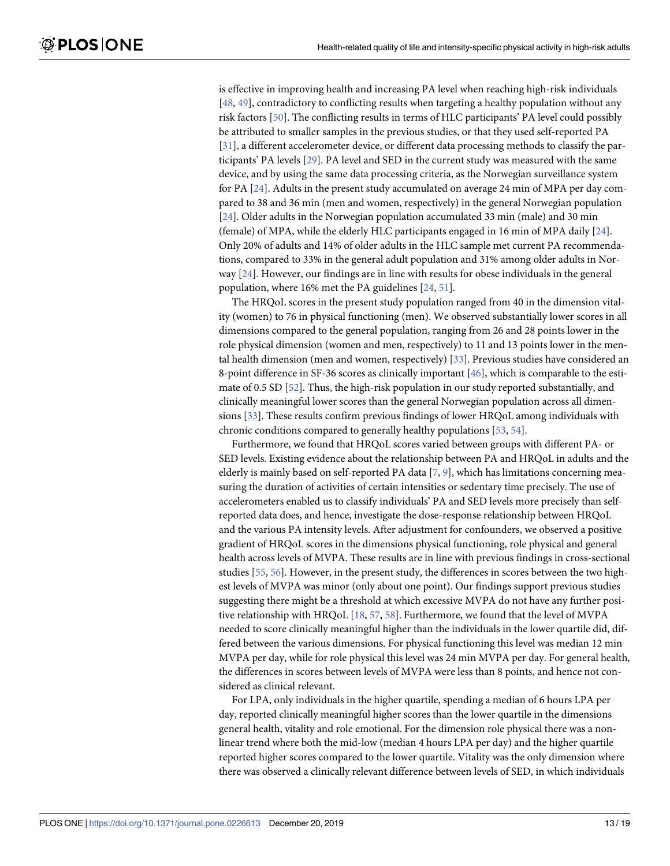<span id="page-12-0"></span>is effective in improving health and increasing PA level when reaching high-risk individuals [\[48,](#page-17-0) [49\]](#page-17-0), contradictory to conflicting results when targeting a healthy population without any risk factors [[50](#page-17-0)]. The conflicting results in terms of HLC participants' PA level could possibly be attributed to smaller samples in the previous studies, or that they used self-reported PA [\[31\]](#page-16-0), a different accelerometer device, or different data processing methods to classify the participants' PA levels [\[29\]](#page-16-0). PA level and SED in the current study was measured with the same device, and by using the same data processing criteria, as the Norwegian surveillance system for PA [[24](#page-16-0)]. Adults in the present study accumulated on average 24 min of MPA per day compared to 38 and 36 min (men and women, respectively) in the general Norwegian population [\[24\]](#page-16-0). Older adults in the Norwegian population accumulated 33 min (male) and 30 min (female) of MPA, while the elderly HLC participants engaged in 16 min of MPA daily [[24](#page-16-0)]. Only 20% of adults and 14% of older adults in the HLC sample met current PA recommendations, compared to 33% in the general adult population and 31% among older adults in Norway [\[24\]](#page-16-0). However, our findings are in line with results for obese individuals in the general population, where 16% met the PA guidelines [\[24,](#page-16-0) [51\]](#page-17-0).

The HRQoL scores in the present study population ranged from 40 in the dimension vitality (women) to 76 in physical functioning (men). We observed substantially lower scores in all dimensions compared to the general population, ranging from 26 and 28 points lower in the role physical dimension (women and men, respectively) to 11 and 13 points lower in the mental health dimension (men and women, respectively) [\[33\]](#page-16-0). Previous studies have considered an 8-point difference in SF-36 scores as clinically important [\[46\]](#page-17-0), which is comparable to the estimate of 0.5 SD [[52](#page-17-0)]. Thus, the high-risk population in our study reported substantially, and clinically meaningful lower scores than the general Norwegian population across all dimensions [\[33\]](#page-16-0). These results confirm previous findings of lower HRQoL among individuals with chronic conditions compared to generally healthy populations [[53](#page-17-0), [54](#page-17-0)].

Furthermore, we found that HRQoL scores varied between groups with different PA- or SED levels. Existing evidence about the relationship between PA and HRQoL in adults and the elderly is mainly based on self-reported PA data [\[7](#page-15-0), [9](#page-15-0)], which has limitations concerning measuring the duration of activities of certain intensities or sedentary time precisely. The use of accelerometers enabled us to classify individuals' PA and SED levels more precisely than selfreported data does, and hence, investigate the dose-response relationship between HRQoL and the various PA intensity levels. After adjustment for confounders, we observed a positive gradient of HRQoL scores in the dimensions physical functioning, role physical and general health across levels of MVPA. These results are in line with previous findings in cross-sectional studies [\[55,](#page-18-0) [56\]](#page-18-0). However, in the present study, the differences in scores between the two highest levels of MVPA was minor (only about one point). Our findings support previous studies suggesting there might be a threshold at which excessive MVPA do not have any further positive relationship with HRQoL [[18](#page-16-0), [57](#page-18-0), [58](#page-18-0)]. Furthermore, we found that the level of MVPA needed to score clinically meaningful higher than the individuals in the lower quartile did, differed between the various dimensions. For physical functioning this level was median 12 min MVPA per day, while for role physical this level was 24 min MVPA per day. For general health, the differences in scores between levels of MVPA were less than 8 points, and hence not considered as clinical relevant.

For LPA, only individuals in the higher quartile, spending a median of 6 hours LPA per day, reported clinically meaningful higher scores than the lower quartile in the dimensions general health, vitality and role emotional. For the dimension role physical there was a nonlinear trend where both the mid-low (median 4 hours LPA per day) and the higher quartile reported higher scores compared to the lower quartile. Vitality was the only dimension where there was observed a clinically relevant difference between levels of SED, in which individuals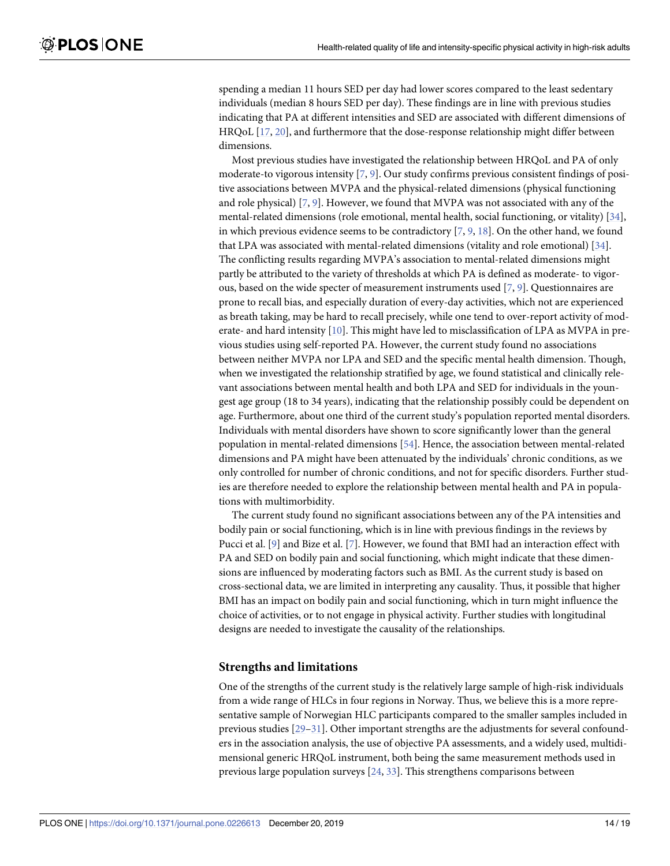<span id="page-13-0"></span>spending a median 11 hours SED per day had lower scores compared to the least sedentary individuals (median 8 hours SED per day). These findings are in line with previous studies indicating that PA at different intensities and SED are associated with different dimensions of HRQoL [\[17,](#page-16-0) [20\]](#page-16-0), and furthermore that the dose-response relationship might differ between dimensions.

Most previous studies have investigated the relationship between HRQoL and PA of only moderate-to vigorous intensity [[7,](#page-15-0) [9\]](#page-15-0). Our study confirms previous consistent findings of positive associations between MVPA and the physical-related dimensions (physical functioning and role physical) [\[7](#page-15-0), [9](#page-15-0)]. However, we found that MVPA was not associated with any of the mental-related dimensions (role emotional, mental health, social functioning, or vitality) [\[34\]](#page-16-0), in which previous evidence seems to be contradictory [\[7,](#page-15-0) [9](#page-15-0), [18](#page-16-0)]. On the other hand, we found that LPA was associated with mental-related dimensions (vitality and role emotional) [[34](#page-16-0)]. The conflicting results regarding MVPA's association to mental-related dimensions might partly be attributed to the variety of thresholds at which PA is defined as moderate- to vigorous, based on the wide specter of measurement instruments used [[7](#page-15-0), [9](#page-15-0)]. Questionnaires are prone to recall bias, and especially duration of every-day activities, which not are experienced as breath taking, may be hard to recall precisely, while one tend to over-report activity of moderate- and hard intensity [\[10\]](#page-15-0). This might have led to misclassification of LPA as MVPA in previous studies using self-reported PA. However, the current study found no associations between neither MVPA nor LPA and SED and the specific mental health dimension. Though, when we investigated the relationship stratified by age, we found statistical and clinically relevant associations between mental health and both LPA and SED for individuals in the youngest age group (18 to 34 years), indicating that the relationship possibly could be dependent on age. Furthermore, about one third of the current study's population reported mental disorders. Individuals with mental disorders have shown to score significantly lower than the general population in mental-related dimensions [[54](#page-17-0)]. Hence, the association between mental-related dimensions and PA might have been attenuated by the individuals' chronic conditions, as we only controlled for number of chronic conditions, and not for specific disorders. Further studies are therefore needed to explore the relationship between mental health and PA in populations with multimorbidity.

The current study found no significant associations between any of the PA intensities and bodily pain or social functioning, which is in line with previous findings in the reviews by Pucci et al. [\[9\]](#page-15-0) and Bize et al. [\[7\]](#page-15-0). However, we found that BMI had an interaction effect with PA and SED on bodily pain and social functioning, which might indicate that these dimensions are influenced by moderating factors such as BMI. As the current study is based on cross-sectional data, we are limited in interpreting any causality. Thus, it possible that higher BMI has an impact on bodily pain and social functioning, which in turn might influence the choice of activities, or to not engage in physical activity. Further studies with longitudinal designs are needed to investigate the causality of the relationships.

### **Strengths and limitations**

One of the strengths of the current study is the relatively large sample of high-risk individuals from a wide range of HLCs in four regions in Norway. Thus, we believe this is a more representative sample of Norwegian HLC participants compared to the smaller samples included in previous studies [[29–31\]](#page-16-0). Other important strengths are the adjustments for several confounders in the association analysis, the use of objective PA assessments, and a widely used, multidimensional generic HRQoL instrument, both being the same measurement methods used in previous large population surveys [\[24,](#page-16-0) [33\]](#page-16-0). This strengthens comparisons between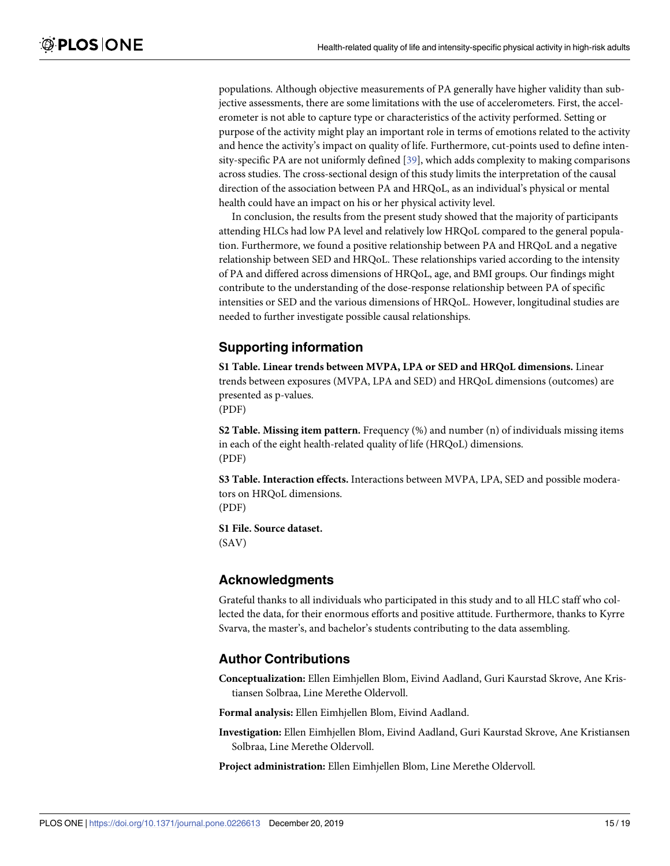<span id="page-14-0"></span>populations. Although objective measurements of PA generally have higher validity than subjective assessments, there are some limitations with the use of accelerometers. First, the accelerometer is not able to capture type or characteristics of the activity performed. Setting or purpose of the activity might play an important role in terms of emotions related to the activity and hence the activity's impact on quality of life. Furthermore, cut-points used to define intensity-specific PA are not uniformly defined [[39](#page-17-0)], which adds complexity to making comparisons across studies. The cross-sectional design of this study limits the interpretation of the causal direction of the association between PA and HRQoL, as an individual's physical or mental health could have an impact on his or her physical activity level.

In conclusion, the results from the present study showed that the majority of participants attending HLCs had low PA level and relatively low HRQoL compared to the general population. Furthermore, we found a positive relationship between PA and HRQoL and a negative relationship between SED and HRQoL. These relationships varied according to the intensity of PA and differed across dimensions of HRQoL, age, and BMI groups. Our findings might contribute to the understanding of the dose-response relationship between PA of specific intensities or SED and the various dimensions of HRQoL. However, longitudinal studies are needed to further investigate possible causal relationships.

## **Supporting information**

**S1 [Table.](http://www.plosone.org/article/fetchSingleRepresentation.action?uri=info:doi/10.1371/journal.pone.0226613.s001) Linear trends between MVPA, LPA or SED and HRQoL dimensions.** Linear trends between exposures (MVPA, LPA and SED) and HRQoL dimensions (outcomes) are presented as p-values.

(PDF)

**S2 [Table.](http://www.plosone.org/article/fetchSingleRepresentation.action?uri=info:doi/10.1371/journal.pone.0226613.s002) Missing item pattern.** Frequency (%) and number (n) of individuals missing items in each of the eight health-related quality of life (HRQoL) dimensions. (PDF)

**S3 [Table.](http://www.plosone.org/article/fetchSingleRepresentation.action?uri=info:doi/10.1371/journal.pone.0226613.s003) Interaction effects.** Interactions between MVPA, LPA, SED and possible moderators on HRQoL dimensions. (PDF)

**S1 [File.](http://www.plosone.org/article/fetchSingleRepresentation.action?uri=info:doi/10.1371/journal.pone.0226613.s004) Source dataset.** (SAV)

### **Acknowledgments**

Grateful thanks to all individuals who participated in this study and to all HLC staff who collected the data, for their enormous efforts and positive attitude. Furthermore, thanks to Kyrre Svarva, the master's, and bachelor's students contributing to the data assembling.

### **Author Contributions**

**Conceptualization:** Ellen Eimhjellen Blom, Eivind Aadland, Guri Kaurstad Skrove, Ane Kristiansen Solbraa, Line Merethe Oldervoll.

**Formal analysis:** Ellen Eimhjellen Blom, Eivind Aadland.

**Investigation:** Ellen Eimhjellen Blom, Eivind Aadland, Guri Kaurstad Skrove, Ane Kristiansen Solbraa, Line Merethe Oldervoll.

**Project administration:** Ellen Eimhjellen Blom, Line Merethe Oldervoll.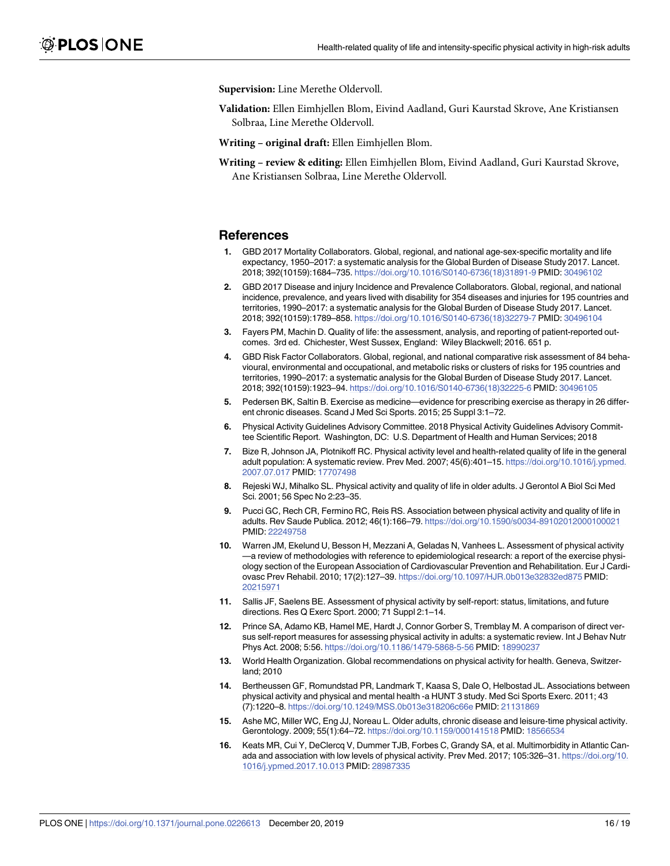<span id="page-15-0"></span>**Supervision:** Line Merethe Oldervoll.

- **Validation:** Ellen Eimhjellen Blom, Eivind Aadland, Guri Kaurstad Skrove, Ane Kristiansen Solbraa, Line Merethe Oldervoll.
- **Writing – original draft:** Ellen Eimhjellen Blom.
- **Writing – review & editing:** Ellen Eimhjellen Blom, Eivind Aadland, Guri Kaurstad Skrove, Ane Kristiansen Solbraa, Line Merethe Oldervoll.

#### **References**

- **[1](#page-1-0).** GBD 2017 Mortality Collaborators. Global, regional, and national age-sex-specific mortality and life expectancy, 1950–2017: a systematic analysis for the Global Burden of Disease Study 2017. Lancet. 2018; 392(10159):1684–735. [https://doi.org/10.1016/S0140-6736\(18\)31891-9](https://doi.org/10.1016/S0140-6736(18)31891-9) PMID: [30496102](http://www.ncbi.nlm.nih.gov/pubmed/30496102)
- **[2](#page-1-0).** GBD 2017 Disease and injury Incidence and Prevalence Collaborators. Global, regional, and national incidence, prevalence, and years lived with disability for 354 diseases and injuries for 195 countries and territories, 1990–2017: a systematic analysis for the Global Burden of Disease Study 2017. Lancet. 2018; 392(10159):1789–858. [https://doi.org/10.1016/S0140-6736\(18\)32279-7](https://doi.org/10.1016/S0140-6736(18)32279-7) PMID: [30496104](http://www.ncbi.nlm.nih.gov/pubmed/30496104)
- **[3](#page-1-0).** Fayers PM, Machin D. Quality of life: the assessment, analysis, and reporting of patient-reported outcomes. 3rd ed. Chichester, West Sussex, England: Wiley Blackwell; 2016. 651 p.
- **[4](#page-1-0).** GBD Risk Factor Collaborators. Global, regional, and national comparative risk assessment of 84 behavioural, environmental and occupational, and metabolic risks or clusters of risks for 195 countries and territories, 1990–2017: a systematic analysis for the Global Burden of Disease Study 2017. Lancet. 2018; 392(10159):1923–94. [https://doi.org/10.1016/S0140-6736\(18\)32225-6](https://doi.org/10.1016/S0140-6736(18)32225-6) PMID: [30496105](http://www.ncbi.nlm.nih.gov/pubmed/30496105)
- **5.** Pedersen BK, Saltin B. Exercise as medicine—evidence for prescribing exercise as therapy in 26 different chronic diseases. Scand J Med Sci Sports. 2015; 25 Suppl 3:1–72.
- **[6](#page-1-0).** Physical Activity Guidelines Advisory Committee. 2018 Physical Activity Guidelines Advisory Committee Scientific Report. Washington, DC: U.S. Department of Health and Human Services; 2018
- **[7](#page-1-0).** Bize R, Johnson JA, Plotnikoff RC. Physical activity level and health-related quality of life in the general adult population: A systematic review. Prev Med. 2007; 45(6):401–15. [https://doi.org/10.1016/j.ypmed.](https://doi.org/10.1016/j.ypmed.2007.07.017) [2007.07.017](https://doi.org/10.1016/j.ypmed.2007.07.017) PMID: [17707498](http://www.ncbi.nlm.nih.gov/pubmed/17707498)
- **8.** Rejeski WJ, Mihalko SL. Physical activity and quality of life in older adults. J Gerontol A Biol Sci Med Sci. 2001; 56 Spec No 2:23–35.
- **[9](#page-1-0).** Pucci GC, Rech CR, Fermino RC, Reis RS. Association between physical activity and quality of life in adults. Rev Saude Publica. 2012; 46(1):166–79. <https://doi.org/10.1590/s0034-89102012000100021> PMID: [22249758](http://www.ncbi.nlm.nih.gov/pubmed/22249758)
- **[10](#page-1-0).** Warren JM, Ekelund U, Besson H, Mezzani A, Geladas N, Vanhees L. Assessment of physical activity —a review of methodologies with reference to epidemiological research: a report of the exercise physiology section of the European Association of Cardiovascular Prevention and Rehabilitation. Eur J Cardiovasc Prev Rehabil. 2010; 17(2):127–39. <https://doi.org/10.1097/HJR.0b013e32832ed875> PMID: [20215971](http://www.ncbi.nlm.nih.gov/pubmed/20215971)
- **11.** Sallis JF, Saelens BE. Assessment of physical activity by self-report: status, limitations, and future directions. Res Q Exerc Sport. 2000; 71 Suppl 2:1–14.
- **[12](#page-1-0).** Prince SA, Adamo KB, Hamel ME, Hardt J, Connor Gorber S, Tremblay M. A comparison of direct versus self-report measures for assessing physical activity in adults: a systematic review. Int J Behav Nutr Phys Act. 2008; 5:56. <https://doi.org/10.1186/1479-5868-5-56> PMID: [18990237](http://www.ncbi.nlm.nih.gov/pubmed/18990237)
- **[13](#page-1-0).** World Health Organization. Global recommendations on physical activity for health. Geneva, Switzerland; 2010
- **[14](#page-1-0).** Bertheussen GF, Romundstad PR, Landmark T, Kaasa S, Dale O, Helbostad JL. Associations between physical activity and physical and mental health -a HUNT 3 study. Med Sci Sports Exerc. 2011; 43 (7):1220–8. <https://doi.org/10.1249/MSS.0b013e318206c66e> PMID: [21131869](http://www.ncbi.nlm.nih.gov/pubmed/21131869)
- **[15](#page-1-0).** Ashe MC, Miller WC, Eng JJ, Noreau L. Older adults, chronic disease and leisure-time physical activity. Gerontology. 2009; 55(1):64–72. <https://doi.org/10.1159/000141518> PMID: [18566534](http://www.ncbi.nlm.nih.gov/pubmed/18566534)
- **16.** Keats MR, Cui Y, DeClercq V, Dummer TJB, Forbes C, Grandy SA, et al. Multimorbidity in Atlantic Canada and association with low levels of physical activity. Prev Med. 2017; 105:326–31. [https://doi.org/10.](https://doi.org/10.1016/j.ypmed.2017.10.013) [1016/j.ypmed.2017.10.013](https://doi.org/10.1016/j.ypmed.2017.10.013) PMID: [28987335](http://www.ncbi.nlm.nih.gov/pubmed/28987335)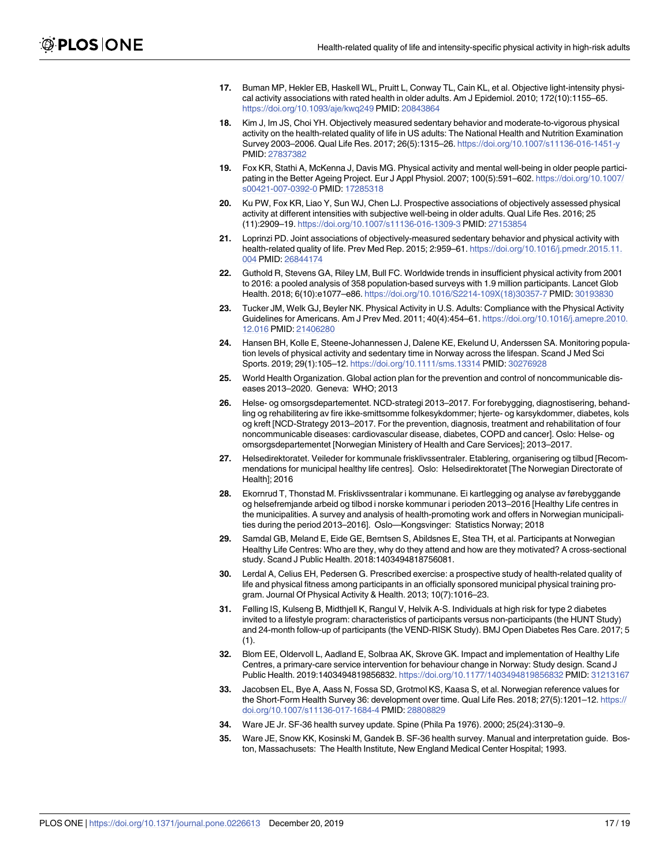- <span id="page-16-0"></span>**[17](#page-1-0).** Buman MP, Hekler EB, Haskell WL, Pruitt L, Conway TL, Cain KL, et al. Objective light-intensity physical activity associations with rated health in older adults. Am J Epidemiol. 2010; 172(10):1155–65. <https://doi.org/10.1093/aje/kwq249> PMID: [20843864](http://www.ncbi.nlm.nih.gov/pubmed/20843864)
- **[18](#page-12-0).** Kim J, Im JS, Choi YH. Objectively measured sedentary behavior and moderate-to-vigorous physical activity on the health-related quality of life in US adults: The National Health and Nutrition Examination Survey 2003–2006. Qual Life Res. 2017; 26(5):1315–26. <https://doi.org/10.1007/s11136-016-1451-y> PMID: [27837382](http://www.ncbi.nlm.nih.gov/pubmed/27837382)
- **19.** Fox KR, Stathi A, McKenna J, Davis MG. Physical activity and mental well-being in older people participating in the Better Ageing Project. Eur J Appl Physiol. 2007; 100(5):591–602. [https://doi.org/10.1007/](https://doi.org/10.1007/s00421-007-0392-0) [s00421-007-0392-0](https://doi.org/10.1007/s00421-007-0392-0) PMID: [17285318](http://www.ncbi.nlm.nih.gov/pubmed/17285318)
- **[20](#page-13-0).** Ku PW, Fox KR, Liao Y, Sun WJ, Chen LJ. Prospective associations of objectively assessed physical activity at different intensities with subjective well-being in older adults. Qual Life Res. 2016; 25 (11):2909–19. <https://doi.org/10.1007/s11136-016-1309-3> PMID: [27153854](http://www.ncbi.nlm.nih.gov/pubmed/27153854)
- **[21](#page-1-0).** Loprinzi PD. Joint associations of objectively-measured sedentary behavior and physical activity with health-related quality of life. Prev Med Rep. 2015; 2:959–61. [https://doi.org/10.1016/j.pmedr.2015.11.](https://doi.org/10.1016/j.pmedr.2015.11.004) [004](https://doi.org/10.1016/j.pmedr.2015.11.004) PMID: [26844174](http://www.ncbi.nlm.nih.gov/pubmed/26844174)
- **[22](#page-1-0).** Guthold R, Stevens GA, Riley LM, Bull FC. Worldwide trends in insufficient physical activity from 2001 to 2016: a pooled analysis of 358 population-based surveys with 1.9 million participants. Lancet Glob Health. 2018; 6(10):e1077–e86. [https://doi.org/10.1016/S2214-109X\(18\)30357-7](https://doi.org/10.1016/S2214-109X(18)30357-7) PMID: [30193830](http://www.ncbi.nlm.nih.gov/pubmed/30193830)
- **23.** Tucker JM, Welk GJ, Beyler NK. Physical Activity in U.S. Adults: Compliance with the Physical Activity Guidelines for Americans. Am J Prev Med. 2011; 40(4):454–61. [https://doi.org/10.1016/j.amepre.2010.](https://doi.org/10.1016/j.amepre.2010.12.016) [12.016](https://doi.org/10.1016/j.amepre.2010.12.016) PMID: [21406280](http://www.ncbi.nlm.nih.gov/pubmed/21406280)
- **[24](#page-1-0).** Hansen BH, Kolle E, Steene-Johannessen J, Dalene KE, Ekelund U, Anderssen SA. Monitoring population levels of physical activity and sedentary time in Norway across the lifespan. Scand J Med Sci Sports. 2019; 29(1):105–12. <https://doi.org/10.1111/sms.13314> PMID: [30276928](http://www.ncbi.nlm.nih.gov/pubmed/30276928)
- **[25](#page-1-0).** World Health Organization. Global action plan for the prevention and control of noncommunicable diseases 2013–2020. Geneva: WHO; 2013
- **[26](#page-2-0).** Helse- og omsorgsdepartementet. NCD-strategi 2013–2017. For forebygging, diagnostisering, behandling og rehabilitering av fire ikke-smittsomme folkesykdommer; hjerte- og karsykdommer, diabetes, kols og kreft [NCD-Strategy 2013–2017. For the prevention, diagnosis, treatment and rehabilitation of four noncommunicable diseases: cardiovascular disease, diabetes, COPD and cancer]. Oslo: Helse- og omsorgsdepartementet [Norwegian Ministery of Health and Care Services]; 2013–2017.
- **[27](#page-2-0).** Helsedirektoratet. Veileder for kommunale frisklivssentraler. Etablering, organisering og tilbud [Recommendations for municipal healthy life centres]. Oslo: Helsedirektoratet [The Norwegian Directorate of Health]; 2016
- **[28](#page-2-0).** Ekornrud T, Thonstad M. Frisklivssentralar i kommunane. Ei kartlegging og analyse av førebyggande og helsefremjande arbeid og tilbod i norske kommunar i perioden 2013–2016 [Healthy Life centres in the municipalities. A survey and analysis of health-promoting work and offers in Norwegian municipalities during the period 2013–2016]. Oslo—Kongsvinger: Statistics Norway; 2018
- **[29](#page-2-0).** Samdal GB, Meland E, Eide GE, Berntsen S, Abildsnes E, Stea TH, et al. Participants at Norwegian Healthy Life Centres: Who are they, why do they attend and how are they motivated? A cross-sectional study. Scand J Public Health. 2018:1403494818756081.
- **30.** Lerdal A, Celius EH, Pedersen G. Prescribed exercise: a prospective study of health-related quality of life and physical fitness among participants in an officially sponsored municipal physical training program. Journal Of Physical Activity & Health. 2013; 10(7):1016–23.
- **[31](#page-2-0).** Følling IS, Kulseng B, Midthjell K, Rangul V, Helvik A-S. Individuals at high risk for type 2 diabetes invited to a lifestyle program: characteristics of participants versus non-participants (the HUNT Study) and 24-month follow-up of participants (the VEND-RISK Study). BMJ Open Diabetes Res Care. 2017; 5  $(1)$ .
- **[32](#page-2-0).** Blom EE, Oldervoll L, Aadland E, Solbraa AK, Skrove GK. Impact and implementation of Healthy Life Centres, a primary-care service intervention for behaviour change in Norway: Study design. Scand J Public Health. 2019:1403494819856832. <https://doi.org/10.1177/1403494819856832> PMID: [31213167](http://www.ncbi.nlm.nih.gov/pubmed/31213167)
- **[33](#page-3-0).** Jacobsen EL, Bye A, Aass N, Fossa SD, Grotmol KS, Kaasa S, et al. Norwegian reference values for the Short-Form Health Survey 36: development over time. Qual Life Res. 2018; 27(5):1201–12. [https://](https://doi.org/10.1007/s11136-017-1684-4) [doi.org/10.1007/s11136-017-1684-4](https://doi.org/10.1007/s11136-017-1684-4) PMID: [28808829](http://www.ncbi.nlm.nih.gov/pubmed/28808829)
- **[34](#page-3-0).** Ware JE Jr. SF-36 health survey update. Spine (Phila Pa 1976). 2000; 25(24):3130–9.
- **[35](#page-3-0).** Ware JE, Snow KK, Kosinski M, Gandek B. SF-36 health survey. Manual and interpretation guide. Boston, Massachusets: The Health Institute, New England Medical Center Hospital; 1993.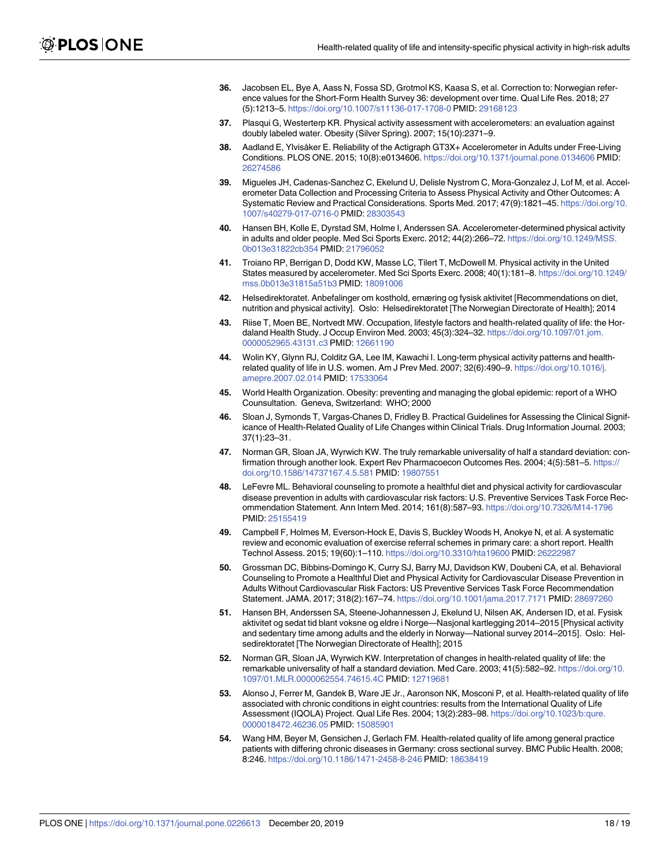- <span id="page-17-0"></span>**[36](#page-3-0).** Jacobsen EL, Bye A, Aass N, Fossa SD, Grotmol KS, Kaasa S, et al. Correction to: Norwegian reference values for the Short-Form Health Survey 36: development over time. Qual Life Res. 2018; 27 (5):1213–5. <https://doi.org/10.1007/s11136-017-1708-0> PMID: [29168123](http://www.ncbi.nlm.nih.gov/pubmed/29168123)
- **[37](#page-3-0).** Plasqui G, Westerterp KR. Physical activity assessment with accelerometers: an evaluation against doubly labeled water. Obesity (Silver Spring). 2007; 15(10):2371–9.
- **[38](#page-3-0).** Aadland E, Ylvisåker E. Reliability of the Actigraph GT3X+ Accelerometer in Adults under Free-Living Conditions. PLOS ONE. 2015; 10(8):e0134606. <https://doi.org/10.1371/journal.pone.0134606> PMID: [26274586](http://www.ncbi.nlm.nih.gov/pubmed/26274586)
- **[39](#page-3-0).** Migueles JH, Cadenas-Sanchez C, Ekelund U, Delisle Nystrom C, Mora-Gonzalez J, Lof M, et al. Accelerometer Data Collection and Processing Criteria to Assess Physical Activity and Other Outcomes: A Systematic Review and Practical Considerations. Sports Med. 2017; 47(9):1821–45. [https://doi.org/10.](https://doi.org/10.1007/s40279-017-0716-0) [1007/s40279-017-0716-0](https://doi.org/10.1007/s40279-017-0716-0) PMID: [28303543](http://www.ncbi.nlm.nih.gov/pubmed/28303543)
- **[40](#page-3-0).** Hansen BH, Kolle E, Dyrstad SM, Holme I, Anderssen SA. Accelerometer-determined physical activity in adults and older people. Med Sci Sports Exerc. 2012; 44(2):266–72. [https://doi.org/10.1249/MSS.](https://doi.org/10.1249/MSS.0b013e31822cb354) [0b013e31822cb354](https://doi.org/10.1249/MSS.0b013e31822cb354) PMID: [21796052](http://www.ncbi.nlm.nih.gov/pubmed/21796052)
- **[41](#page-4-0).** Troiano RP, Berrigan D, Dodd KW, Masse LC, Tilert T, McDowell M. Physical activity in the United States measured by accelerometer. Med Sci Sports Exerc. 2008; 40(1):181–8. [https://doi.org/10.1249/](https://doi.org/10.1249/mss.0b013e31815a51b3) [mss.0b013e31815a51b3](https://doi.org/10.1249/mss.0b013e31815a51b3) PMID: [18091006](http://www.ncbi.nlm.nih.gov/pubmed/18091006)
- **[42](#page-4-0).** Helsedirektoratet. Anbefalinger om kosthold, ernæring og fysisk aktivitet [Recommendations on diet, nutrition and physical activity]. Oslo: Helsedirektoratet [The Norwegian Directorate of Health]; 2014
- **[43](#page-4-0).** Riise T, Moen BE, Nortvedt MW. Occupation, lifestyle factors and health-related quality of life: the Hordaland Health Study. J Occup Environ Med. 2003; 45(3):324–32. [https://doi.org/10.1097/01.jom.](https://doi.org/10.1097/01.jom.0000052965.43131.c3) [0000052965.43131.c3](https://doi.org/10.1097/01.jom.0000052965.43131.c3) PMID: [12661190](http://www.ncbi.nlm.nih.gov/pubmed/12661190)
- **[44](#page-4-0).** Wolin KY, Glynn RJ, Colditz GA, Lee IM, Kawachi I. Long-term physical activity patterns and healthrelated quality of life in U.S. women. Am J Prev Med. 2007; 32(6):490–9. [https://doi.org/10.1016/j.](https://doi.org/10.1016/j.amepre.2007.02.014) [amepre.2007.02.014](https://doi.org/10.1016/j.amepre.2007.02.014) PMID: [17533064](http://www.ncbi.nlm.nih.gov/pubmed/17533064)
- **[45](#page-4-0).** World Health Organization. Obesity: preventing and managing the global epidemic: report of a WHO Counsultation. Geneva, Switzerland: WHO; 2000
- **[46](#page-4-0).** Sloan J, Symonds T, Vargas-Chanes D, Fridley B. Practical Guidelines for Assessing the Clinical Significance of Health-Related Quality of Life Changes within Clinical Trials. Drug Information Journal. 2003; 37(1):23–31.
- **[47](#page-4-0).** Norman GR, Sloan JA, Wyrwich KW. The truly remarkable universality of half a standard deviation: confirmation through another look. Expert Rev Pharmacoecon Outcomes Res. 2004; 4(5):581–5. [https://](https://doi.org/10.1586/14737167.4.5.581) [doi.org/10.1586/14737167.4.5.581](https://doi.org/10.1586/14737167.4.5.581) PMID: [19807551](http://www.ncbi.nlm.nih.gov/pubmed/19807551)
- **[48](#page-12-0).** LeFevre ML. Behavioral counseling to promote a healthful diet and physical activity for cardiovascular disease prevention in adults with cardiovascular risk factors: U.S. Preventive Services Task Force Recommendation Statement. Ann Intern Med. 2014; 161(8):587–93. <https://doi.org/10.7326/M14-1796> PMID: [25155419](http://www.ncbi.nlm.nih.gov/pubmed/25155419)
- **[49](#page-12-0).** Campbell F, Holmes M, Everson-Hock E, Davis S, Buckley Woods H, Anokye N, et al. A systematic review and economic evaluation of exercise referral schemes in primary care: a short report. Health Technol Assess. 2015; 19(60):1–110. <https://doi.org/10.3310/hta19600> PMID: [26222987](http://www.ncbi.nlm.nih.gov/pubmed/26222987)
- **[50](#page-12-0).** Grossman DC, Bibbins-Domingo K, Curry SJ, Barry MJ, Davidson KW, Doubeni CA, et al. Behavioral Counseling to Promote a Healthful Diet and Physical Activity for Cardiovascular Disease Prevention in Adults Without Cardiovascular Risk Factors: US Preventive Services Task Force Recommendation Statement. JAMA. 2017; 318(2):167–74. <https://doi.org/10.1001/jama.2017.7171> PMID: [28697260](http://www.ncbi.nlm.nih.gov/pubmed/28697260)
- **[51](#page-12-0).** Hansen BH, Anderssen SA, Steene-Johannessen J, Ekelund U, Nilsen AK, Andersen ID, et al. Fysisk aktivitet og sedat tid blant voksne og eldre i Norge—Nasjonal kartlegging 2014–2015 [Physical activity and sedentary time among adults and the elderly in Norway—National survey 2014–2015]. Oslo: Helsedirektoratet [The Norwegian Directorate of Health]; 2015
- **[52](#page-12-0).** Norman GR, Sloan JA, Wyrwich KW. Interpretation of changes in health-related quality of life: the remarkable universality of half a standard deviation. Med Care. 2003; 41(5):582–92. [https://doi.org/10.](https://doi.org/10.1097/01.MLR.0000062554.74615.4C) [1097/01.MLR.0000062554.74615.4C](https://doi.org/10.1097/01.MLR.0000062554.74615.4C) PMID: [12719681](http://www.ncbi.nlm.nih.gov/pubmed/12719681)
- **[53](#page-12-0).** Alonso J, Ferrer M, Gandek B, Ware JE Jr., Aaronson NK, Mosconi P, et al. Health-related quality of life associated with chronic conditions in eight countries: results from the International Quality of Life Assessment (IQOLA) Project. Qual Life Res. 2004; 13(2):283–98. [https://doi.org/10.1023/b:qure.](https://doi.org/10.1023/b:qure.0000018472.46236.05) [0000018472.46236.05](https://doi.org/10.1023/b:qure.0000018472.46236.05) PMID: [15085901](http://www.ncbi.nlm.nih.gov/pubmed/15085901)
- **[54](#page-12-0).** Wang HM, Beyer M, Gensichen J, Gerlach FM. Health-related quality of life among general practice patients with differing chronic diseases in Germany: cross sectional survey. BMC Public Health. 2008; 8:246. <https://doi.org/10.1186/1471-2458-8-246> PMID: [18638419](http://www.ncbi.nlm.nih.gov/pubmed/18638419)